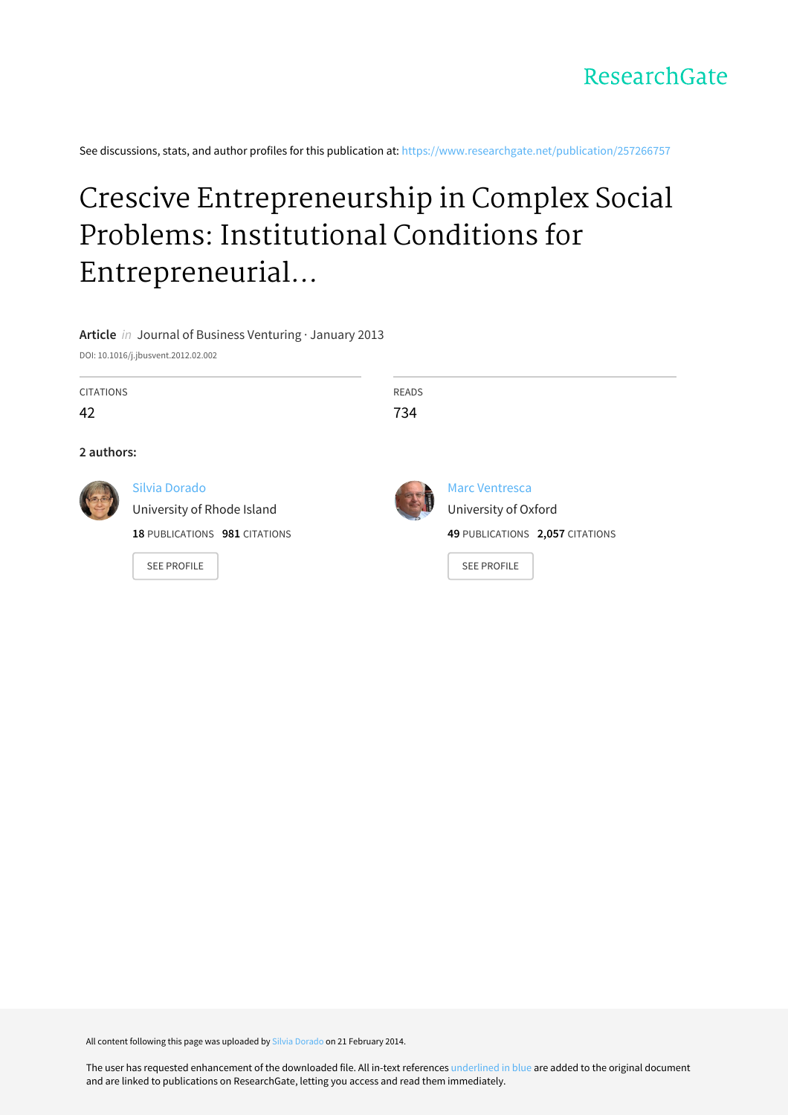

See discussions, stats, and author profiles for this publication at: [https://www.researchgate.net/publication/257266757](https://www.researchgate.net/publication/257266757_Crescive_Entrepreneurship_in_Complex_Social_Problems_Institutional_Conditions_for_Entrepreneurial_Engagement?enrichId=rgreq-4ecb2d3bc00dc12eef780f0dd4dfdcb2-XXX&enrichSource=Y292ZXJQYWdlOzI1NzI2Njc1NztBUzoxMDM3ODgyOTk5NDgwMzNAMTQwMTc1NjQ2NzA3Nw%3D%3D&el=1_x_2&_esc=publicationCoverPdf)

# Crescive Entrepreneurship in Complex Social Problems: Institutional Conditions for Entrepreneurial...

### **Article** in Journal of Business Venturing · January 2013

DOI: 10.1016/j.jbusvent.2012.02.002

CITATIONS

42

**2 authors:**



### Silvia [Dorado](https://www.researchgate.net/profile/Silvia_Dorado?enrichId=rgreq-4ecb2d3bc00dc12eef780f0dd4dfdcb2-XXX&enrichSource=Y292ZXJQYWdlOzI1NzI2Njc1NztBUzoxMDM3ODgyOTk5NDgwMzNAMTQwMTc1NjQ2NzA3Nw%3D%3D&el=1_x_5&_esc=publicationCoverPdf)

[University](https://www.researchgate.net/institution/University_of_Rhode_Island?enrichId=rgreq-4ecb2d3bc00dc12eef780f0dd4dfdcb2-XXX&enrichSource=Y292ZXJQYWdlOzI1NzI2Njc1NztBUzoxMDM3ODgyOTk5NDgwMzNAMTQwMTc1NjQ2NzA3Nw%3D%3D&el=1_x_6&_esc=publicationCoverPdf) of Rhode Island

**18** PUBLICATIONS **981** CITATIONS

SEE [PROFILE](https://www.researchgate.net/profile/Silvia_Dorado?enrichId=rgreq-4ecb2d3bc00dc12eef780f0dd4dfdcb2-XXX&enrichSource=Y292ZXJQYWdlOzI1NzI2Njc1NztBUzoxMDM3ODgyOTk5NDgwMzNAMTQwMTc1NjQ2NzA3Nw%3D%3D&el=1_x_7&_esc=publicationCoverPdf)



READS 734

> Marc [Ventresca](https://www.researchgate.net/profile/Marc_Ventresca?enrichId=rgreq-4ecb2d3bc00dc12eef780f0dd4dfdcb2-XXX&enrichSource=Y292ZXJQYWdlOzI1NzI2Njc1NztBUzoxMDM3ODgyOTk5NDgwMzNAMTQwMTc1NjQ2NzA3Nw%3D%3D&el=1_x_5&_esc=publicationCoverPdf) [University](https://www.researchgate.net/institution/University_of_Oxford?enrichId=rgreq-4ecb2d3bc00dc12eef780f0dd4dfdcb2-XXX&enrichSource=Y292ZXJQYWdlOzI1NzI2Njc1NztBUzoxMDM3ODgyOTk5NDgwMzNAMTQwMTc1NjQ2NzA3Nw%3D%3D&el=1_x_6&_esc=publicationCoverPdf) of Oxford **49** PUBLICATIONS **2,057** CITATIONS

SEE [PROFILE](https://www.researchgate.net/profile/Marc_Ventresca?enrichId=rgreq-4ecb2d3bc00dc12eef780f0dd4dfdcb2-XXX&enrichSource=Y292ZXJQYWdlOzI1NzI2Njc1NztBUzoxMDM3ODgyOTk5NDgwMzNAMTQwMTc1NjQ2NzA3Nw%3D%3D&el=1_x_7&_esc=publicationCoverPdf)

All content following this page was uploaded by Silvia [Dorado](https://www.researchgate.net/profile/Silvia_Dorado?enrichId=rgreq-4ecb2d3bc00dc12eef780f0dd4dfdcb2-XXX&enrichSource=Y292ZXJQYWdlOzI1NzI2Njc1NztBUzoxMDM3ODgyOTk5NDgwMzNAMTQwMTc1NjQ2NzA3Nw%3D%3D&el=1_x_10&_esc=publicationCoverPdf) on 21 February 2014.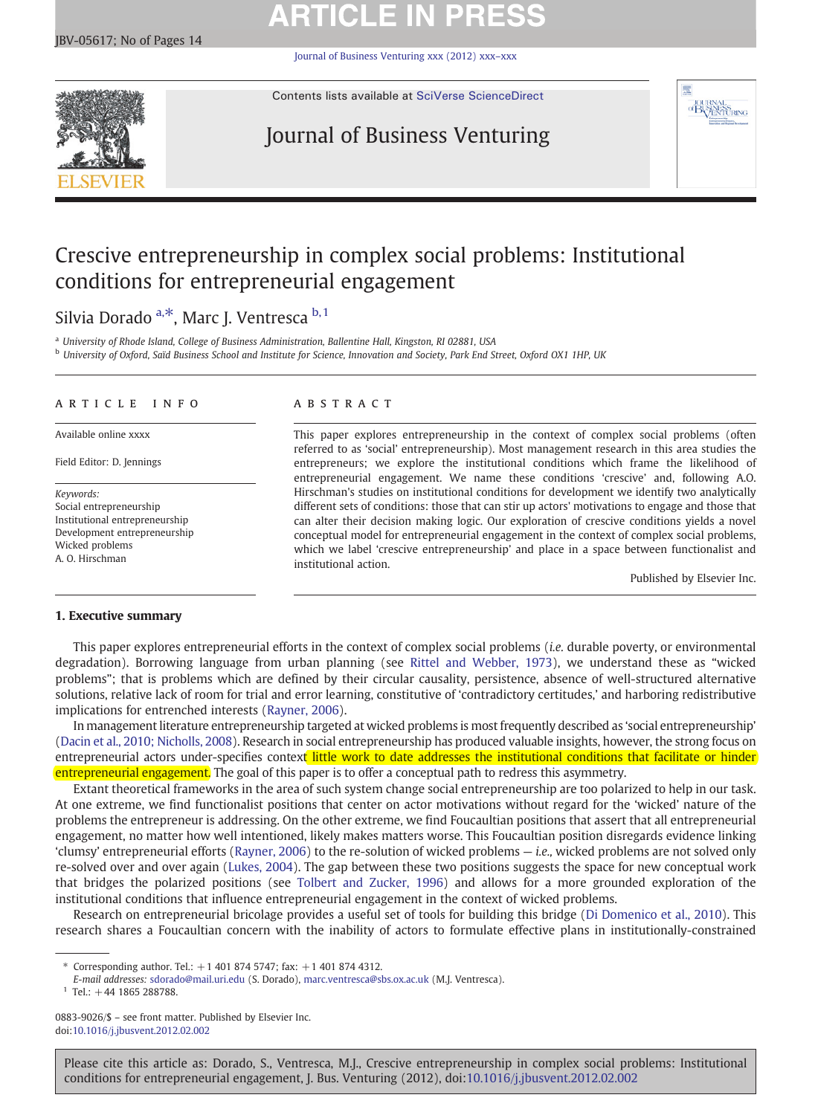## **ARTICLE IN PRESS**

[Journal of Business Venturing xxx \(2012\) xxx](http://dx.doi.org/10.1016/j.jbusvent.2012.02.002)–xxx



Contents lists available at [SciVerse ScienceDirect](http://www.sciencedirect.com/science/journal/08839026)

## Journal of Business Venturing



## Crescive entrepreneurship in complex social problems: Institutional conditions for entrepreneurial engagement

Silvia Dorado <sup>a,\*</sup>, Marc J. Ventresca <sup>b, 1</sup>

<sup>a</sup> University of Rhode Island, College of Business Administration, Ballentine Hall, Kingston, RI 02881, USA b University of Oxford, Saïd Business School and Institute for Science, Innovation and Society, Park End Street, Oxford OX1 1HP, UK

#### article info abstract

Available online xxxx

Field Editor: D. Jennings

Keywords: Social entrepreneurship Institutional entrepreneurship Development entrepreneurship Wicked problems A. O. Hirschman

This paper explores entrepreneurship in the context of complex social problems (often referred to as 'social' entrepreneurship). Most management research in this area studies the entrepreneurs; we explore the institutional conditions which frame the likelihood of entrepreneurial engagement. We name these conditions 'crescive' and, following A.O. Hirschman's studies on institutional conditions for development we identify two analytically different sets of conditions: those that can stir up actors' motivations to engage and those that can alter their decision making logic. Our exploration of crescive conditions yields a novel conceptual model for entrepreneurial engagement in the context of complex social problems, which we label 'crescive entrepreneurship' and place in a space between functionalist and institutional action.

Published by Elsevier Inc.

### 1. Executive summary

This paper explores entrepreneurial efforts in the context of complex social problems (i.e. durable poverty, or environmental degradation). Borrowing language from urban planning (see [Rittel and Webber, 1973\)](#page-14-0), we understand these as "wicked problems"; that is problems which are defined by their circular causality, persistence, absence of well-structured alternative solutions, relative lack of room for trial and error learning, constitutive of 'contradictory certitudes,' and harboring redistributive implications for entrenched interests ([Rayner, 2006\)](#page-14-0).

In management literature entrepreneurship targeted at wicked problems is most frequently described as 'social entrepreneurship' [\(Dacin et al., 2010; Nicholls, 2008](#page-13-0)). Research in social entrepreneurship has produced valuable insights, however, the strong focus on entrepreneurial actors under-specifies context little work to date addresses the institutional conditions that facilitate or hinder entrepreneurial engagement. The goal of this paper is to offer a conceptual path to redress this asymmetry.

Extant theoretical frameworks in the area of such system change social entrepreneurship are too polarized to help in our task. At one extreme, we find functionalist positions that center on actor motivations without regard for the 'wicked' nature of the problems the entrepreneur is addressing. On the other extreme, we find Foucaultian positions that assert that all entrepreneurial engagement, no matter how well intentioned, likely makes matters worse. This Foucaultian position disregards evidence linking 'clumsy' entrepreneurial efforts [\(Rayner, 2006\)](#page-14-0) to the re-solution of wicked problems — i.e., wicked problems are not solved only re-solved over and over again ([Lukes, 2004\)](#page-14-0). The gap between these two positions suggests the space for new conceptual work that bridges the polarized positions (see [Tolbert and Zucker, 1996\)](#page-14-0) and allows for a more grounded exploration of the institutional conditions that influence entrepreneurial engagement in the context of wicked problems.

Research on entrepreneurial bricolage provides a useful set of tools for building this bridge ([Di Domenico et al., 2010](#page-13-0)). This research shares a Foucaultian concern with the inability of actors to formulate effective plans in institutionally-constrained

E-mail addresses: [sdorado@mail.uri.edu](mailto:sdorado@mail.uri.edu) (S. Dorado), [marc.ventresca@sbs.ox.ac.uk](mailto:marc.ventresca@sbs.ox.ac.uk) (M.J. Ventresca).

 $1$  Tel.: +44 1865 288788.

0883-9026/\$ – see front matter. Published by Elsevier Inc. doi[:10.1016/j.jbusvent.2012.02.002](http://dx.doi.org/10.1016/j.jbusvent.2012.02.002)

<sup>⁎</sup> Corresponding author. Tel.: +1 401 874 5747; fax: +1 401 874 4312.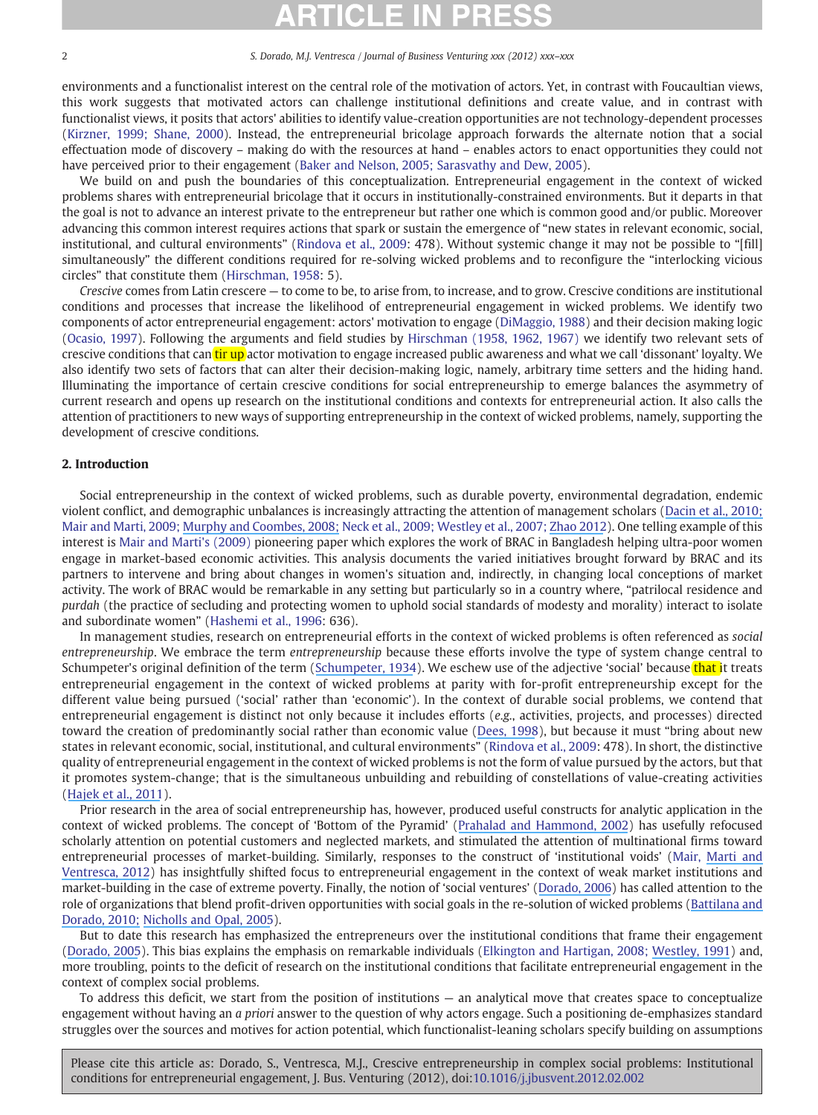environments and a functionalist interest on the central role of the motivation of actors. Yet, in contrast with Foucaultian views, this work suggests that motivated actors can challenge institutional definitions and create value, and in contrast with functionalist views, it posits that actors' abilities to identify value-creation opportunities are not technology-dependent processes ([Kirzner, 1999; Shane, 2000\)](#page-13-0). Instead, the entrepreneurial bricolage approach forwards the alternate notion that a social effectuation mode of discovery – making do with the resources at hand – enables actors to enact opportunities they could not have perceived prior to their engagement [\(Baker and Nelson, 2005; Sarasvathy and Dew, 2005\)](#page-13-0).

We build on and push the boundaries of this conceptualization. Entrepreneurial engagement in the context of wicked problems shares with entrepreneurial bricolage that it occurs in institutionally-constrained environments. But it departs in that the goal is not to advance an interest private to the entrepreneur but rather one which is common good and/or public. Moreover advancing this common interest requires actions that spark or sustain the emergence of "new states in relevant economic, social, institutional, and cultural environments" ([Rindova et al., 2009:](#page-14-0) 478). Without systemic change it may not be possible to "[fill] simultaneously" the different conditions required for re-solving wicked problems and to reconfigure the "interlocking vicious circles" that constitute them ([Hirschman, 1958:](#page-13-0) 5).

Crescive comes from Latin crescere — to come to be, to arise from, to increase, and to grow. Crescive conditions are institutional conditions and processes that increase the likelihood of entrepreneurial engagement in wicked problems. We identify two components of actor entrepreneurial engagement: actors' motivation to engage ([DiMaggio, 1988](#page-13-0)) and their decision making logic ([Ocasio, 1997\)](#page-14-0). Following the arguments and field studies by [Hirschman \(1958, 1962, 1967\)](#page-13-0) we identify two relevant sets of crescive conditions that can tir up actor motivation to engage increased public awareness and what we call 'dissonant' loyalty. We also identify two sets of factors that can alter their decision-making logic, namely, arbitrary time setters and the hiding hand. Illuminating the importance of certain crescive conditions for social entrepreneurship to emerge balances the asymmetry of current research and opens up research on the institutional conditions and contexts for entrepreneurial action. It also calls the attention of practitioners to new ways of supporting entrepreneurship in the context of wicked problems, namely, supporting the development of crescive conditions.

### 2. Introduction

Social entrepreneurship in the context of wicked problems, such as durable poverty, environmental degradation, endemic violent conflict, and demographic unbalances is increasingly attracting the attention of management scholars ([Dacin et al., 2010](#page-13-0)[;](https://www.researchgate.net/publication/274752776_Social_Entrepreneurship_Why_We_Don) [Mair and Marti, 2009; Murphy and Coombes, 2008; Neck et al., 2009; Westley et al., 2007; Zhao 2012\)](#page-13-0). One telling example of this interest is [Mair and Marti's \(2009\)](#page-14-0) pioneering paper which explores the work of BRAC in Bangladesh helping ultra-poor women engage in market-based economic activities. This analysis documents the varied initiatives brought forward by BRAC and its partners to intervene and bring about changes in women's situation and, indirectly, in changing local conceptions of market activity. The work of BRAC would be remarkable in any setting but particularly so in a country where, "patrilocal residence and purdah (the practice of secluding and protecting women to uphold social standards of modesty and morality) interact to isolate and subordinate women" ([Hashemi et al., 1996](#page-13-0): 636).

In management studies, research on entrepreneurial efforts in the context of wicked problems is often referenced as social entrepreneurship. We embrace the term entrepreneurship because these efforts involve the type of system change central to Schumpeter's original definition of the term ([Schumpeter,](https://www.researchgate.net/publication/228247192_The_Theory_of_Economic_Development_An_Inquiry_Into_Profits_Capital_Credit_Interest_and_the_Business_Cycle?el=1_x_8&enrichId=rgreq-4ecb2d3bc00dc12eef780f0dd4dfdcb2-XXX&enrichSource=Y292ZXJQYWdlOzI1NzI2Njc1NztBUzoxMDM3ODgyOTk5NDgwMzNAMTQwMTc1NjQ2NzA3Nw==)[193](https://www.researchgate.net/publication/228247192_The_Theory_of_Economic_Development_An_Inquiry_Into_Profits_Capital_Credit_Interest_and_the_Business_Cycle?el=1_x_8&enrichId=rgreq-4ecb2d3bc00dc12eef780f0dd4dfdcb2-XXX&enrichSource=Y292ZXJQYWdlOzI1NzI2Njc1NztBUzoxMDM3ODgyOTk5NDgwMzNAMTQwMTc1NjQ2NzA3Nw==)[4](#page-14-0)). We eschew use of the adjective 'social' because that it treats entrepreneurial engagement in the context of wicked problems at parity with for-profit entrepreneurship except for the different value being pursued ('social' rather than 'economic'). In the context of durable social problems, we contend that entrepreneurial engagement is distinct not only because it includes efforts (e.g., activities, projects, and processes) directed toward the creation of predominantly social rather than economic value ([Dees, 1998](#page-13-0)), but because it must "bring about new states in relevant economic, social, institutional, and cultural environments" [\(Rindova et al., 2009](#page-14-0): 478). In short, the distinctive quality of entrepreneurial engagement in the context of wicked problems is not the form of value pursued by the actors, but that it promotes system-change; that is the simultaneous unbuilding and rebuilding of constellations of value-creating activities ([Hajek et al., 2011\)](#page-13-0).

Prior research in the area of social entrepreneurship has, however, produced useful constructs for analytic application in the context of wicked problems. The concept of 'Bottom of the Pyramid' ([Prahalad and Hammond, 2002](#page-14-0)) has usefully refocused scholarly attention on potential customers and neglected markets, and stimulated the attention of multinational firms toward entrepreneurial processes of market-building. Similarly, responses to the construct of 'institutional voids' ([Mair, Marti an](#page-14-0)[d](https://www.researchgate.net/publication/222548689_Entrepreneurship_in_and_around_Institutional_Voids_A_Case_Study_from_Bangladesh?el=1_x_8&enrichId=rgreq-4ecb2d3bc00dc12eef780f0dd4dfdcb2-XXX&enrichSource=Y292ZXJQYWdlOzI1NzI2Njc1NztBUzoxMDM3ODgyOTk5NDgwMzNAMTQwMTc1NjQ2NzA3Nw==) [Ventresca,](https://www.researchgate.net/publication/222548689_Entrepreneurship_in_and_around_Institutional_Voids_A_Case_Study_from_Bangladesh?el=1_x_8&enrichId=rgreq-4ecb2d3bc00dc12eef780f0dd4dfdcb2-XXX&enrichSource=Y292ZXJQYWdlOzI1NzI2Njc1NztBUzoxMDM3ODgyOTk5NDgwMzNAMTQwMTc1NjQ2NzA3Nw==)[201](https://www.researchgate.net/publication/222548689_Entrepreneurship_in_and_around_Institutional_Voids_A_Case_Study_from_Bangladesh?el=1_x_8&enrichId=rgreq-4ecb2d3bc00dc12eef780f0dd4dfdcb2-XXX&enrichSource=Y292ZXJQYWdlOzI1NzI2Njc1NztBUzoxMDM3ODgyOTk5NDgwMzNAMTQwMTc1NjQ2NzA3Nw==)[2\)](#page-14-0) has insightfully shifted focus to entrepreneurial engagement in the context of weak market institutions and market-building in the case of extreme poverty. Finally, the notion of 'social ventures' [\(Dorado, 2006\)](#page-13-0) has called attention to the role of organizations that blend profit-driven opportunities with social goals in the re-solution of wicked problems ([Battilana an](#page-13-0)[d](https://www.researchgate.net/publication/259285229_Building_Sustainable_Hybrid_Organizations_The_Case_of_Commercial_Microfinance_Organizations?el=1_x_8&enrichId=rgreq-4ecb2d3bc00dc12eef780f0dd4dfdcb2-XXX&enrichSource=Y292ZXJQYWdlOzI1NzI2Njc1NztBUzoxMDM3ODgyOTk5NDgwMzNAMTQwMTc1NjQ2NzA3Nw==) [Dorado, 2010; Nicholls and Opal, 2005](#page-13-0)).

But to date this research has emphasized the entrepreneurs over the institutional conditions that frame their engagement ([Dorado, 2005\)](#page-13-0). This bias explains the emphasis on remarkable individuals ([Elkington and Hartigan, 2008; Westley, 1991](#page-13-0)) and, more troubling, points to the deficit of research on the institutional conditions that facilitate entrepreneurial engagement in the context of complex social problems.

To address this deficit, we start from the position of institutions — an analytical move that creates space to conceptualize engagement without having an *a priori* answer to the question of why actors engage. Such a positioning de-emphasizes standard struggles over the sources and motives for action potential, which functionalist-leaning scholars specify building on assumptions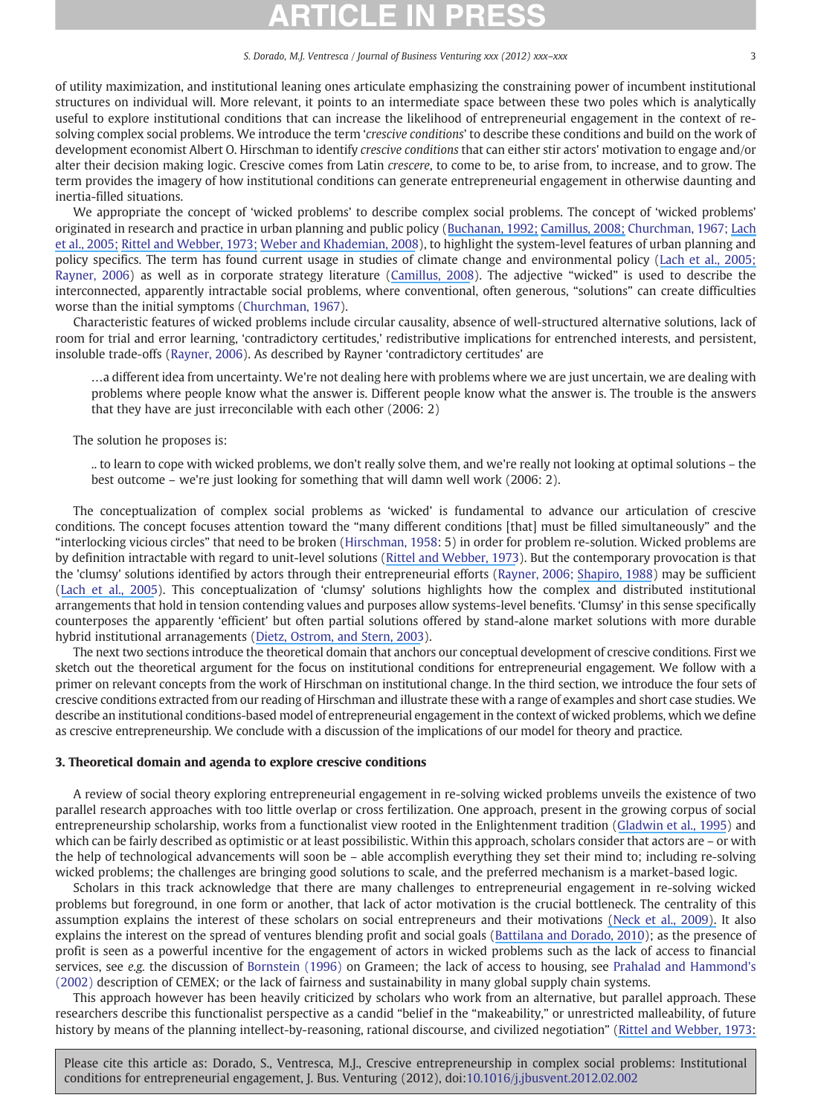of utility maximization, and institutional leaning ones articulate emphasizing the constraining power of incumbent institutional structures on individual will. More relevant, it points to an intermediate space between these two poles which is analytically useful to explore institutional conditions that can increase the likelihood of entrepreneurial engagement in the context of resolving complex social problems. We introduce the term 'crescive conditions' to describe these conditions and build on the work of development economist Albert O. Hirschman to identify *crescive conditions* that can either stir actors' motivation to engage and/or alter their decision making logic. Crescive comes from Latin crescere, to come to be, to arise from, to increase, and to grow. The term provides the imagery of how institutional conditions can generate entrepreneurial engagement in otherwise daunting and inertia-filled situations.

We appropriate the concept of 'wicked problems' to describe complex social problems. The concept of 'wicked problems' originated in research and practice in urban planning and public policy ([Buchanan,](https://www.researchgate.net/publication/251880127_Wicked_Problems_in_Design_Thinking?el=1_x_8&enrichId=rgreq-4ecb2d3bc00dc12eef780f0dd4dfdcb2-XXX&enrichSource=Y292ZXJQYWdlOzI1NzI2Njc1NztBUzoxMDM3ODgyOTk5NDgwMzNAMTQwMTc1NjQ2NzA3Nw==)[1992;](https://www.researchgate.net/publication/251880127_Wicked_Problems_in_Design_Thinking?el=1_x_8&enrichId=rgreq-4ecb2d3bc00dc12eef780f0dd4dfdcb2-XXX&enrichSource=Y292ZXJQYWdlOzI1NzI2Njc1NztBUzoxMDM3ODgyOTk5NDgwMzNAMTQwMTc1NjQ2NzA3Nw==)[Camillus,](https://www.researchgate.net/publication/251880254_Strategy_as_a_Wicked_Problem?el=1_x_8&enrichId=rgreq-4ecb2d3bc00dc12eef780f0dd4dfdcb2-XXX&enrichSource=Y292ZXJQYWdlOzI1NzI2Njc1NztBUzoxMDM3ODgyOTk5NDgwMzNAMTQwMTc1NjQ2NzA3Nw==)[2008;](https://www.researchgate.net/publication/251880254_Strategy_as_a_Wicked_Problem?el=1_x_8&enrichId=rgreq-4ecb2d3bc00dc12eef780f0dd4dfdcb2-XXX&enrichSource=Y292ZXJQYWdlOzI1NzI2Njc1NztBUzoxMDM3ODgyOTk5NDgwMzNAMTQwMTc1NjQ2NzA3Nw==) [Churchman, 1967; L](#page-13-0)[ach](https://www.researchgate.net/publication/228353607_Taming_the_waters_Strategies_to_domesticate_the_wicked_problems_of_water_resource_management?el=1_x_8&enrichId=rgreq-4ecb2d3bc00dc12eef780f0dd4dfdcb2-XXX&enrichSource=Y292ZXJQYWdlOzI1NzI2Njc1NztBUzoxMDM3ODgyOTk5NDgwMzNAMTQwMTc1NjQ2NzA3Nw==) [et al., 2005; Rittel and Webber, 1973; Weber and Khademian, 2008\)](#page-13-0), to highlight the system-level features of urban planning and policy specifics. The term has found current usage in studies of climate change and environmental policy [\(Lach](https://www.researchgate.net/publication/228353607_Taming_the_waters_Strategies_to_domesticate_the_wicked_problems_of_water_resource_management?el=1_x_8&enrichId=rgreq-4ecb2d3bc00dc12eef780f0dd4dfdcb2-XXX&enrichSource=Y292ZXJQYWdlOzI1NzI2Njc1NztBUzoxMDM3ODgyOTk5NDgwMzNAMTQwMTc1NjQ2NzA3Nw==)[et](https://www.researchgate.net/publication/228353607_Taming_the_waters_Strategies_to_domesticate_the_wicked_problems_of_water_resource_management?el=1_x_8&enrichId=rgreq-4ecb2d3bc00dc12eef780f0dd4dfdcb2-XXX&enrichSource=Y292ZXJQYWdlOzI1NzI2Njc1NztBUzoxMDM3ODgyOTk5NDgwMzNAMTQwMTc1NjQ2NzA3Nw==)[al.,](https://www.researchgate.net/publication/228353607_Taming_the_waters_Strategies_to_domesticate_the_wicked_problems_of_water_resource_management?el=1_x_8&enrichId=rgreq-4ecb2d3bc00dc12eef780f0dd4dfdcb2-XXX&enrichSource=Y292ZXJQYWdlOzI1NzI2Njc1NztBUzoxMDM3ODgyOTk5NDgwMzNAMTQwMTc1NjQ2NzA3Nw==)[2005;](https://www.researchgate.net/publication/228353607_Taming_the_waters_Strategies_to_domesticate_the_wicked_problems_of_water_resource_management?el=1_x_8&enrichId=rgreq-4ecb2d3bc00dc12eef780f0dd4dfdcb2-XXX&enrichSource=Y292ZXJQYWdlOzI1NzI2Njc1NztBUzoxMDM3ODgyOTk5NDgwMzNAMTQwMTc1NjQ2NzA3Nw==) [Rayner, 2006](#page-14-0)) as well as in corporate strategy literature [\(Camillus, 2008](#page-13-0)). The adjective "wicked" is used to describe the interconnected, apparently intractable social problems, where conventional, often generous, "solutions" can create difficulties worse than the initial symptoms ([Churchman, 1967](#page-13-0)).

Characteristic features of wicked problems include circular causality, absence of well-structured alternative solutions, lack of room for trial and error learning, 'contradictory certitudes,' redistributive implications for entrenched interests, and persistent, insoluble trade-offs ([Rayner, 2006\)](#page-14-0). As described by Rayner 'contradictory certitudes' are

…a different idea from uncertainty. We're not dealing here with problems where we are just uncertain, we are dealing with problems where people know what the answer is. Different people know what the answer is. The trouble is the answers that they have are just irreconcilable with each other (2006: 2)

The solution he proposes is:

.. to learn to cope with wicked problems, we don't really solve them, and we're really not looking at optimal solutions – the best outcome – we're just looking for something that will damn well work (2006: 2).

The conceptualization of complex social problems as 'wicked' is fundamental to advance our articulation of crescive conditions. The concept focuses attention toward the "many different conditions [that] must be filled simultaneously" and the "interlocking vicious circles" that need to be broken [\(Hirschman, 1958](#page-13-0): 5) in order for problem re-solution. Wicked problems are by definition intractable with regard to unit-level solutions ([Rittel and Webber, 1973](#page-14-0)). But the contemporary provocation is that the 'clumsy' solutions identified by actors through their entrepreneurial efforts [\(Rayner, 2006;](#page-14-0) [Shapiro,](https://www.researchgate.net/publication/285485722_Judicial_selection_and_the_design_of_clumsy_institutions?el=1_x_8&enrichId=rgreq-4ecb2d3bc00dc12eef780f0dd4dfdcb2-XXX&enrichSource=Y292ZXJQYWdlOzI1NzI2Njc1NztBUzoxMDM3ODgyOTk5NDgwMzNAMTQwMTc1NjQ2NzA3Nw==)[1988](https://www.researchgate.net/publication/285485722_Judicial_selection_and_the_design_of_clumsy_institutions?el=1_x_8&enrichId=rgreq-4ecb2d3bc00dc12eef780f0dd4dfdcb2-XXX&enrichSource=Y292ZXJQYWdlOzI1NzI2Njc1NztBUzoxMDM3ODgyOTk5NDgwMzNAMTQwMTc1NjQ2NzA3Nw==)) may be sufficient [\(Lach et al., 2005\)](#page-14-0). This conceptualization of 'clumsy' solutions highlights how the complex and distributed institutional arrangements that hold in tension contending values and purposes allow systems-level benefits. 'Clumsy' in this sense specifically counterposes the apparently 'efficient' but often partial solutions offered by stand-alone market solutions with more durable hybrid institutional arranagements [\(Dietz,](https://www.researchgate.net/publication/null?el=1_x_8&enrichId=rgreq-4ecb2d3bc00dc12eef780f0dd4dfdcb2-XXX&enrichSource=Y292ZXJQYWdlOzI1NzI2Njc1NztBUzoxMDM3ODgyOTk5NDgwMzNAMTQwMTc1NjQ2NzA3Nw==)[Ostrom,](https://www.researchgate.net/publication/null?el=1_x_8&enrichId=rgreq-4ecb2d3bc00dc12eef780f0dd4dfdcb2-XXX&enrichSource=Y292ZXJQYWdlOzI1NzI2Njc1NztBUzoxMDM3ODgyOTk5NDgwMzNAMTQwMTc1NjQ2NzA3Nw==)[and](https://www.researchgate.net/publication/null?el=1_x_8&enrichId=rgreq-4ecb2d3bc00dc12eef780f0dd4dfdcb2-XXX&enrichSource=Y292ZXJQYWdlOzI1NzI2Njc1NztBUzoxMDM3ODgyOTk5NDgwMzNAMTQwMTc1NjQ2NzA3Nw==)[Stern,](https://www.researchgate.net/publication/null?el=1_x_8&enrichId=rgreq-4ecb2d3bc00dc12eef780f0dd4dfdcb2-XXX&enrichSource=Y292ZXJQYWdlOzI1NzI2Njc1NztBUzoxMDM3ODgyOTk5NDgwMzNAMTQwMTc1NjQ2NzA3Nw==)[200](https://www.researchgate.net/publication/null?el=1_x_8&enrichId=rgreq-4ecb2d3bc00dc12eef780f0dd4dfdcb2-XXX&enrichSource=Y292ZXJQYWdlOzI1NzI2Njc1NztBUzoxMDM3ODgyOTk5NDgwMzNAMTQwMTc1NjQ2NzA3Nw==)[3](#page-13-0)).

The next two sections introduce the theoretical domain that anchors our conceptual development of crescive conditions. First we sketch out the theoretical argument for the focus on institutional conditions for entrepreneurial engagement. We follow with a primer on relevant concepts from the work of Hirschman on institutional change. In the third section, we introduce the four sets of crescive conditions extracted from our reading of Hirschman and illustrate these with a range of examples and short case studies. We describe an institutional conditions-based model of entrepreneurial engagement in the context of wicked problems, which we define as crescive entrepreneurship. We conclude with a discussion of the implications of our model for theory and practice.

### 3. Theoretical domain and agenda to explore crescive conditions

A review of social theory exploring entrepreneurial engagement in re-solving wicked problems unveils the existence of two parallel research approaches with too little overlap or cross fertilization. One approach, present in the growing corpus of social entrepreneurship scholarship, works from a functionalist view rooted in the Enlightenment tradition ([Gladwin et al., 1995\)](#page-13-0) and which can be fairly described as optimistic or at least possibilistic. Within this approach, scholars consider that actors are – or with the help of technological advancements will soon be – able accomplish everything they set their mind to; including re-solving wicked problems; the challenges are bringing good solutions to scale, and the preferred mechanism is a market-based logic.

Scholars in this track acknowledge that there are many challenges to entrepreneurial engagement in re-solving wicked problems but foreground, in one form or another, that lack of actor motivation is the crucial bottleneck. The centrality of this assumption explains the interest of these scholars on social entrepreneurs and their motivations [\(](https://www.researchgate.net/publication/23647887_The_Landscape_of_Social_Entrepreneurship?el=1_x_8&enrichId=rgreq-4ecb2d3bc00dc12eef780f0dd4dfdcb2-XXX&enrichSource=Y292ZXJQYWdlOzI1NzI2Njc1NztBUzoxMDM3ODgyOTk5NDgwMzNAMTQwMTc1NjQ2NzA3Nw==)[Neck et al., 200](#page-14-0)[9\).](https://www.researchgate.net/publication/23647887_The_Landscape_of_Social_Entrepreneurship?el=1_x_8&enrichId=rgreq-4ecb2d3bc00dc12eef780f0dd4dfdcb2-XXX&enrichSource=Y292ZXJQYWdlOzI1NzI2Njc1NztBUzoxMDM3ODgyOTk5NDgwMzNAMTQwMTc1NjQ2NzA3Nw==) It also explains the interest on the spread of ventures blending profit and social goals [\(Battilana and Dorado, 2010\)](#page-13-0); as the presence of profit is seen as a powerful incentive for the engagement of actors in wicked problems such as the lack of access to financial services, see e.g. the discussion of [Bornstein \(1996\)](#page-13-0) on Grameen; the lack of access to housing, see [Prahalad and Hammond's](#page-14-0) [\(2002\)](#page-14-0) description of CEMEX; or the lack of fairness and sustainability in many global supply chain systems.

This approach however has been heavily criticized by scholars who work from an alternative, but parallel approach. These researchers describe this functionalist perspective as a candid "belief in the "makeability," or unrestricted malleability, of future history by means of the planning intellect-by-reasoning, rational discourse, and civilized negotiation" [\(R](https://www.researchgate.net/publication/225230512_Dilemmas_In_a_General_Theory_of_Planning?el=1_x_8&enrichId=rgreq-4ecb2d3bc00dc12eef780f0dd4dfdcb2-XXX&enrichSource=Y292ZXJQYWdlOzI1NzI2Njc1NztBUzoxMDM3ODgyOTk5NDgwMzNAMTQwMTc1NjQ2NzA3Nw==)[ittel and Webber, 197](#page-14-0)[3:](https://www.researchgate.net/publication/225230512_Dilemmas_In_a_General_Theory_of_Planning?el=1_x_8&enrichId=rgreq-4ecb2d3bc00dc12eef780f0dd4dfdcb2-XXX&enrichSource=Y292ZXJQYWdlOzI1NzI2Njc1NztBUzoxMDM3ODgyOTk5NDgwMzNAMTQwMTc1NjQ2NzA3Nw==)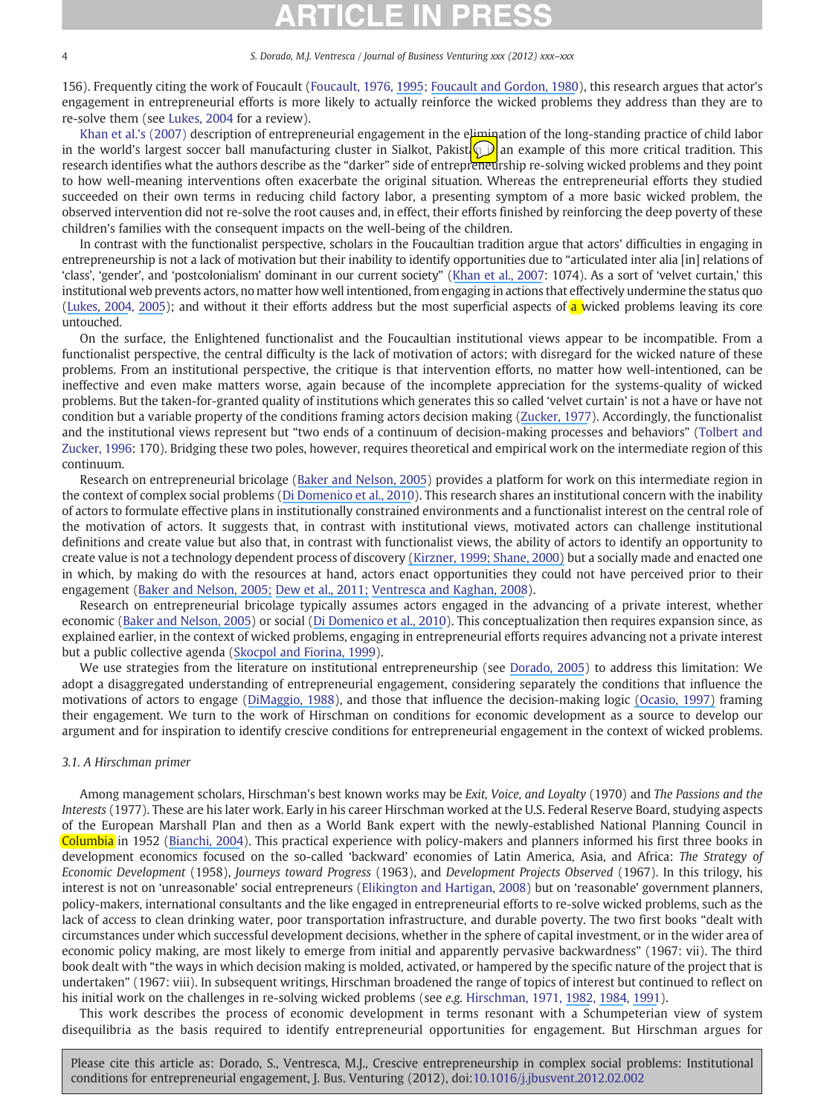156). Frequently citing the work of Foucault ([Foucault, 1976,](#page-13-0) [199](https://www.researchgate.net/publication/281562288_Discipline_and_Punish_The_Birth_of_Prison?el=1_x_8&enrichId=rgreq-4ecb2d3bc00dc12eef780f0dd4dfdcb2-XXX&enrichSource=Y292ZXJQYWdlOzI1NzI2Njc1NztBUzoxMDM3ODgyOTk5NDgwMzNAMTQwMTc1NjQ2NzA3Nw==)[5;](#page-13-0) [Foucault](https://www.researchgate.net/publication/237929681_PowerKnowledge_Selected_Interviews_Other_Writings?el=1_x_8&enrichId=rgreq-4ecb2d3bc00dc12eef780f0dd4dfdcb2-XXX&enrichSource=Y292ZXJQYWdlOzI1NzI2Njc1NztBUzoxMDM3ODgyOTk5NDgwMzNAMTQwMTc1NjQ2NzA3Nw==)[and](https://www.researchgate.net/publication/237929681_PowerKnowledge_Selected_Interviews_Other_Writings?el=1_x_8&enrichId=rgreq-4ecb2d3bc00dc12eef780f0dd4dfdcb2-XXX&enrichSource=Y292ZXJQYWdlOzI1NzI2Njc1NztBUzoxMDM3ODgyOTk5NDgwMzNAMTQwMTc1NjQ2NzA3Nw==)[Gordon,](https://www.researchgate.net/publication/237929681_PowerKnowledge_Selected_Interviews_Other_Writings?el=1_x_8&enrichId=rgreq-4ecb2d3bc00dc12eef780f0dd4dfdcb2-XXX&enrichSource=Y292ZXJQYWdlOzI1NzI2Njc1NztBUzoxMDM3ODgyOTk5NDgwMzNAMTQwMTc1NjQ2NzA3Nw==)[198](https://www.researchgate.net/publication/237929681_PowerKnowledge_Selected_Interviews_Other_Writings?el=1_x_8&enrichId=rgreq-4ecb2d3bc00dc12eef780f0dd4dfdcb2-XXX&enrichSource=Y292ZXJQYWdlOzI1NzI2Njc1NztBUzoxMDM3ODgyOTk5NDgwMzNAMTQwMTc1NjQ2NzA3Nw==)[0](#page-13-0)), this research argues that actor's engagement in entrepreneurial efforts is more likely to actually reinforce the wicked problems they address than they are to re-solve them (see [Lukes, 2004](#page-14-0) for a review).

[Khan et al.'s \(2007\)](#page-13-0) description of entrepreneurial engagement in the elimination of the long-standing practice of child labor in the world's largest soccer ball manufacturing cluster in Sialkot, Pakist and  $\sum$  an example of this more critical tradition. This research identifies what the authors describe as the "darker" side of entrepreneurship re-solving wicked problems and they point to how well-meaning interventions often exacerbate the original situation. Whereas the entrepreneurial efforts they studied succeeded on their own terms in reducing child factory labor, a presenting symptom of a more basic wicked problem, the observed intervention did not re-solve the root causes and, in effect, their efforts finished by reinforcing the deep poverty of these children's families with the consequent impacts on the well-being of the children.

In contrast with the functionalist perspective, scholars in the Foucaultian tradition argue that actors' difficulties in engaging in entrepreneurship is not a lack of motivation but their inability to identify opportunities due to "articulated inter alia [in] relations of 'class', 'gender', and 'postcolonialism' dominant in our current society" [\(Khan et al., 2007](#page-13-0): 1074). As a sort of 'velvet curtain,' this institutional web prevents actors, no matter how well intentioned, from engaging in actions that effectively undermine the status quo ([Lukes, 2004, 2005](#page-14-0)); and without it their efforts address but the most superficial aspects of a wicked problems leaving its core untouched.

On the surface, the Enlightened functionalist and the Foucaultian institutional views appear to be incompatible. From a functionalist perspective, the central difficulty is the lack of motivation of actors; with disregard for the wicked nature of these problems. From an institutional perspective, the critique is that intervention efforts, no matter how well-intentioned, can be ineffective and even make matters worse, again because of the incomplete appreciation for the systems-quality of wicked problems. But the taken-for-granted quality of institutions which generates this so called 'velvet curtain' is not a have or have not condition but a variable property of the conditions framing actors decision making ([Zucker, 1977\)](#page-14-0). Accordingly, the functionalist and the institutional views represent but "two ends of a continuum of decision-making processes and behaviors" [\(Tolbert and](#page-14-0) [Zucker, 1996:](#page-14-0) 170). Bridging these two poles, however, requires theoretical and empirical work on the intermediate region of this continuum.

Research on entrepreneurial bricolage ([Baker and Nelson, 2005](#page-13-0)) provides a platform for work on this intermediate region in the context of complex social problems ([Di Domenico et al., 2010\)](#page-13-0). This research shares an institutional concern with the inability of actors to formulate effective plans in institutionally constrained environments and a functionalist interest on the central role of the motivation of actors. It suggests that, in contrast with institutional views, motivated actors can challenge institutional definitions and create value but also that, in contrast with functionalist views, the ability of actors to identify an opportunity to create value is not a technology dependent process of discovery [\(](https://www.researchgate.net/publication/null?el=1_x_8&enrichId=rgreq-4ecb2d3bc00dc12eef780f0dd4dfdcb2-XXX&enrichSource=Y292ZXJQYWdlOzI1NzI2Njc1NztBUzoxMDM3ODgyOTk5NDgwMzNAMTQwMTc1NjQ2NzA3Nw==)[Kirzner, 1999; Shane, 200](#page-13-0)[0\)](https://www.researchgate.net/publication/null?el=1_x_8&enrichId=rgreq-4ecb2d3bc00dc12eef780f0dd4dfdcb2-XXX&enrichSource=Y292ZXJQYWdlOzI1NzI2Njc1NztBUzoxMDM3ODgyOTk5NDgwMzNAMTQwMTc1NjQ2NzA3Nw==) but a socially made and enacted one in which, by making do with the resources at hand, actors enact opportunities they could not have perceived prior to their engagement [\(Baker and Nelson, 2005; Dew et al., 2011; Ventresca and Kaghan, 2008](#page-13-0)).

Research on entrepreneurial bricolage typically assumes actors engaged in the advancing of a private interest, whether economic ([Baker and Nelson, 2005](#page-13-0)) or social [\(Di Domenico et al., 2010\)](#page-13-0). This conceptualization then requires expansion since, as explained earlier, in the context of wicked problems, engaging in entrepreneurial efforts requires advancing not a private interest but a public collective agenda ([Skocpol and Fiorina, 1999\)](#page-14-0).

We use strategies from the literature on institutional entrepreneurship (see [Dorado,](https://www.researchgate.net/publication/240279698_Institutional_Entrepreneurship_Partaking_and_Convening?el=1_x_8&enrichId=rgreq-4ecb2d3bc00dc12eef780f0dd4dfdcb2-XXX&enrichSource=Y292ZXJQYWdlOzI1NzI2Njc1NztBUzoxMDM3ODgyOTk5NDgwMzNAMTQwMTc1NjQ2NzA3Nw==)[200](https://www.researchgate.net/publication/240279698_Institutional_Entrepreneurship_Partaking_and_Convening?el=1_x_8&enrichId=rgreq-4ecb2d3bc00dc12eef780f0dd4dfdcb2-XXX&enrichSource=Y292ZXJQYWdlOzI1NzI2Njc1NztBUzoxMDM3ODgyOTk5NDgwMzNAMTQwMTc1NjQ2NzA3Nw==)[5](#page-13-0)) to address this limitation: We adopt a disaggregated understanding of entrepreneurial engagement, considering separately the conditions that influence the motivations of actors to engage ([DiMaggio,](https://www.researchgate.net/publication/235413152_Interest_and_Agency_in_Institutional_Theory?el=1_x_8&enrichId=rgreq-4ecb2d3bc00dc12eef780f0dd4dfdcb2-XXX&enrichSource=Y292ZXJQYWdlOzI1NzI2Njc1NztBUzoxMDM3ODgyOTk5NDgwMzNAMTQwMTc1NjQ2NzA3Nw==)[198](https://www.researchgate.net/publication/235413152_Interest_and_Agency_in_Institutional_Theory?el=1_x_8&enrichId=rgreq-4ecb2d3bc00dc12eef780f0dd4dfdcb2-XXX&enrichSource=Y292ZXJQYWdlOzI1NzI2Njc1NztBUzoxMDM3ODgyOTk5NDgwMzNAMTQwMTc1NjQ2NzA3Nw==)[8\)](#page-13-0), and those that influence the decision-making logic [\(Ocasio,](https://www.researchgate.net/publication/229490929_Toward_an_Attention-Based_View_of_the_Firm?el=1_x_8&enrichId=rgreq-4ecb2d3bc00dc12eef780f0dd4dfdcb2-XXX&enrichSource=Y292ZXJQYWdlOzI1NzI2Njc1NztBUzoxMDM3ODgyOTk5NDgwMzNAMTQwMTc1NjQ2NzA3Nw==)[1997\)](https://www.researchgate.net/publication/229490929_Toward_an_Attention-Based_View_of_the_Firm?el=1_x_8&enrichId=rgreq-4ecb2d3bc00dc12eef780f0dd4dfdcb2-XXX&enrichSource=Y292ZXJQYWdlOzI1NzI2Njc1NztBUzoxMDM3ODgyOTk5NDgwMzNAMTQwMTc1NjQ2NzA3Nw==) framing their engagement. We turn to the work of Hirschman on conditions for economic development as a source to develop our argument and for inspiration to identify crescive conditions for entrepreneurial engagement in the context of wicked problems.

### 3.1. A Hirschman primer

Among management scholars, Hirschman's best known works may be Exit, Voice, and Loyalty (1970) and The Passions and the Interests (1977). These are his later work. Early in his career Hirschman worked at the U.S. Federal Reserve Board, studying aspects of the European Marshall Plan and then as a World Bank expert with the newly-established National Planning Council in Columbia in 1952 ([Bianchi,](https://www.researchgate.net/publication/null?el=1_x_8&enrichId=rgreq-4ecb2d3bc00dc12eef780f0dd4dfdcb2-XXX&enrichSource=Y292ZXJQYWdlOzI1NzI2Njc1NztBUzoxMDM3ODgyOTk5NDgwMzNAMTQwMTc1NjQ2NzA3Nw==)[200](https://www.researchgate.net/publication/null?el=1_x_8&enrichId=rgreq-4ecb2d3bc00dc12eef780f0dd4dfdcb2-XXX&enrichSource=Y292ZXJQYWdlOzI1NzI2Njc1NztBUzoxMDM3ODgyOTk5NDgwMzNAMTQwMTc1NjQ2NzA3Nw==)[4\)](#page-13-0). This practical experience with policy-makers and planners informed his first three books in development economics focused on the so-called 'backward' economies of Latin America, Asia, and Africa: The Strategy of Economic Development (1958), Journeys toward Progress (1963), and Development Projects Observed (1967). In this trilogy, his interest is not on 'unreasonable' social entrepreneurs ([Elikington and Hartigan, 2008](#page-13-0)) but on 'reasonable' government planners, policy-makers, international consultants and the like engaged in entrepreneurial efforts to re-solve wicked problems, such as the lack of access to clean drinking water, poor transportation infrastructure, and durable poverty. The two first books "dealt with circumstances under which successful development decisions, whether in the sphere of capital investment, or in the wider area of economic policy making, are most likely to emerge from initial and apparently pervasive backwardness" (1967: vii). The third book dealt with "the ways in which decision making is molded, activated, or hampered by the specific nature of the project that is undertaken" (1967: viii). In subsequent writings, Hirschman broadened the range of topics of interest but continued to reflect on his initial work on the challenges in re-solving wicked problems (see e.g. [Hirschman, 1971, 1982, 1984, 1991](#page-13-0)).

This work describes the process of economic development in terms resonant with a Schumpeterian view of system disequilibria as the basis required to identify entrepreneurial opportunities for engagement. But Hirschman argues for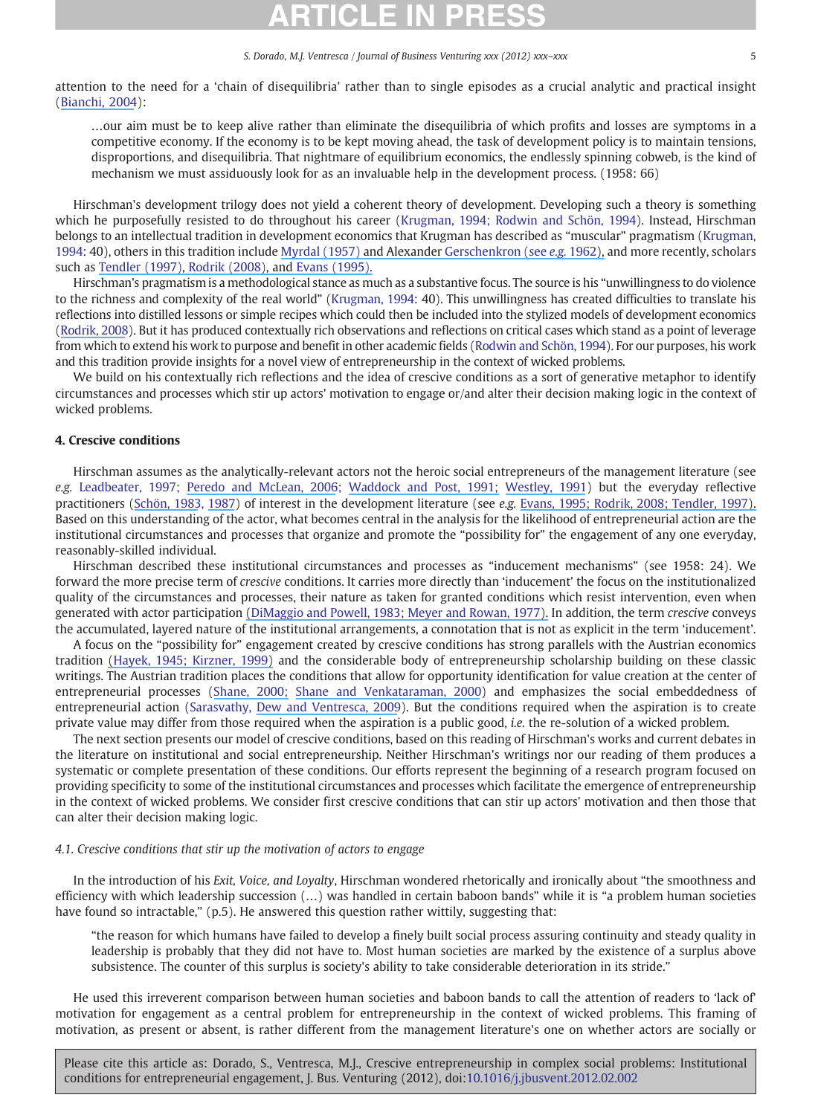attention to the need for a 'chain of disequilibria' rather than to single episodes as a crucial analytic and practical insight [\(Bianchi, 2004](#page-13-0)):

…our aim must be to keep alive rather than eliminate the disequilibria of which profits and losses are symptoms in a competitive economy. If the economy is to be kept moving ahead, the task of development policy is to maintain tensions, disproportions, and disequilibria. That nightmare of equilibrium economics, the endlessly spinning cobweb, is the kind of mechanism we must assiduously look for as an invaluable help in the development process. (1958: 66)

Hirschman's development trilogy does not yield a coherent theory of development. Developing such a theory is something which he purposefully resisted to do throughout his career ([Krugman, 1994; Rodwin and Schön, 1994](#page-14-0)). Instead, Hirschman belongs to an intellectual tradition in development economics that Krugman has described as "muscular" pragmatism ([Krugman,](#page-14-0) [1994](#page-14-0): 40), others in this tradition include [Myrdal \(1957\)](#page-14-0) and Alexander [G](https://www.researchgate.net/publication/246007055_Economic_Backwardness_in_Historical_Perspective_A_Book_of_Essays?el=1_x_8&enrichId=rgreq-4ecb2d3bc00dc12eef780f0dd4dfdcb2-XXX&enrichSource=Y292ZXJQYWdlOzI1NzI2Njc1NztBUzoxMDM3ODgyOTk5NDgwMzNAMTQwMTc1NjQ2NzA3Nw==)[erschenkron \(see](#page-13-0) e.g. 1962), and more recently, scholars such as [Tendler \(1997\)](#page-14-0), [Rodrik \(2008\)](#page-14-0)[, and](https://www.researchgate.net/publication/239666528_Good_Local_Government_in_the_Tropics?el=1_x_8&enrichId=rgreq-4ecb2d3bc00dc12eef780f0dd4dfdcb2-XXX&enrichSource=Y292ZXJQYWdlOzI1NzI2Njc1NztBUzoxMDM3ODgyOTk5NDgwMzNAMTQwMTc1NjQ2NzA3Nw==) [Evans \(1995\)](#page-13-0).

Hirschman's pragmatism is a methodological stance as much as a substantive focus. The source is his "unwillingness to do violence to the richness and complexity of the real world" [\(Krugman, 1994](#page-14-0): 40). This unwillingness has created difficulties to translate his reflections into distilled lessons or simple recipes which could then be included into the stylized models of development economics [\(Rodrik,](https://www.researchgate.net/publication/24117995_One_Economics_Many_Recipes_Globalization_Institutions_and_Economic_Growth?el=1_x_8&enrichId=rgreq-4ecb2d3bc00dc12eef780f0dd4dfdcb2-XXX&enrichSource=Y292ZXJQYWdlOzI1NzI2Njc1NztBUzoxMDM3ODgyOTk5NDgwMzNAMTQwMTc1NjQ2NzA3Nw==)[200](https://www.researchgate.net/publication/24117995_One_Economics_Many_Recipes_Globalization_Institutions_and_Economic_Growth?el=1_x_8&enrichId=rgreq-4ecb2d3bc00dc12eef780f0dd4dfdcb2-XXX&enrichSource=Y292ZXJQYWdlOzI1NzI2Njc1NztBUzoxMDM3ODgyOTk5NDgwMzNAMTQwMTc1NjQ2NzA3Nw==)[8](#page-14-0)). But it has produced contextually rich observations and reflections on critical cases which stand as a point of leverage from which to extend his work to purpose and benefit in other academic fields [\(Rodwin and Schön, 1994](#page-14-0)). For our purposes, his work and this tradition provide insights for a novel view of entrepreneurship in the context of wicked problems.

We build on his contextually rich reflections and the idea of crescive conditions as a sort of generative metaphor to identify circumstances and processes which stir up actors' motivation to engage or/and alter their decision making logic in the context of wicked problems.

### 4. Crescive conditions

Hirschman assumes as the analytically-relevant actors not the heroic social entrepreneurs of the management literature (see e.g. [Leadbeater, 1997; Peredo and McLean, 2006; Waddock and Post, 1991; Westley, 1991](#page-14-0)) but the everyday reflective practitioners [\(S](#page-14-0)[chön,](https://www.researchgate.net/publication/215439083_The_Reflective_Practitioner_How_Professionals_Think_In_Action?el=1_x_8&enrichId=rgreq-4ecb2d3bc00dc12eef780f0dd4dfdcb2-XXX&enrichSource=Y292ZXJQYWdlOzI1NzI2Njc1NztBUzoxMDM3ODgyOTk5NDgwMzNAMTQwMTc1NjQ2NzA3Nw==)[198](https://www.researchgate.net/publication/215439083_The_Reflective_Practitioner_How_Professionals_Think_In_Action?el=1_x_8&enrichId=rgreq-4ecb2d3bc00dc12eef780f0dd4dfdcb2-XXX&enrichSource=Y292ZXJQYWdlOzI1NzI2Njc1NztBUzoxMDM3ODgyOTk5NDgwMzNAMTQwMTc1NjQ2NzA3Nw==)[3,](#page-14-0) [198](https://www.researchgate.net/publication/30874809_Educating_The_Reflective_Practitioner?el=1_x_8&enrichId=rgreq-4ecb2d3bc00dc12eef780f0dd4dfdcb2-XXX&enrichSource=Y292ZXJQYWdlOzI1NzI2Njc1NztBUzoxMDM3ODgyOTk5NDgwMzNAMTQwMTc1NjQ2NzA3Nw==)[7\)](#page-14-0) of interest in the development literature (see e.g. [Evans,](https://www.researchgate.net/publication/239666528_Good_Local_Government_in_the_Tropics?el=1_x_8&enrichId=rgreq-4ecb2d3bc00dc12eef780f0dd4dfdcb2-XXX&enrichSource=Y292ZXJQYWdlOzI1NzI2Njc1NztBUzoxMDM3ODgyOTk5NDgwMzNAMTQwMTc1NjQ2NzA3Nw==)[1995;](https://www.researchgate.net/publication/239666528_Good_Local_Government_in_the_Tropics?el=1_x_8&enrichId=rgreq-4ecb2d3bc00dc12eef780f0dd4dfdcb2-XXX&enrichSource=Y292ZXJQYWdlOzI1NzI2Njc1NztBUzoxMDM3ODgyOTk5NDgwMzNAMTQwMTc1NjQ2NzA3Nw==)[Rodrik,](https://www.researchgate.net/publication/24117995_One_Economics_Many_Recipes_Globalization_Institutions_and_Economic_Growth?el=1_x_8&enrichId=rgreq-4ecb2d3bc00dc12eef780f0dd4dfdcb2-XXX&enrichSource=Y292ZXJQYWdlOzI1NzI2Njc1NztBUzoxMDM3ODgyOTk5NDgwMzNAMTQwMTc1NjQ2NzA3Nw==)[2008;](https://www.researchgate.net/publication/24117995_One_Economics_Many_Recipes_Globalization_Institutions_and_Economic_Growth?el=1_x_8&enrichId=rgreq-4ecb2d3bc00dc12eef780f0dd4dfdcb2-XXX&enrichSource=Y292ZXJQYWdlOzI1NzI2Njc1NztBUzoxMDM3ODgyOTk5NDgwMzNAMTQwMTc1NjQ2NzA3Nw==)[Tendler,](https://www.researchgate.net/publication/239666528_Good_Local_Government_in_the_Tropics?el=1_x_8&enrichId=rgreq-4ecb2d3bc00dc12eef780f0dd4dfdcb2-XXX&enrichSource=Y292ZXJQYWdlOzI1NzI2Njc1NztBUzoxMDM3ODgyOTk5NDgwMzNAMTQwMTc1NjQ2NzA3Nw==)[1997\).](https://www.researchgate.net/publication/239666528_Good_Local_Government_in_the_Tropics?el=1_x_8&enrichId=rgreq-4ecb2d3bc00dc12eef780f0dd4dfdcb2-XXX&enrichSource=Y292ZXJQYWdlOzI1NzI2Njc1NztBUzoxMDM3ODgyOTk5NDgwMzNAMTQwMTc1NjQ2NzA3Nw==) Based on this understanding of the actor, what becomes central in the analysis for the likelihood of entrepreneurial action are the institutional circumstances and processes that organize and promote the "possibility for" the engagement of any one everyday, reasonably-skilled individual.

Hirschman described these institutional circumstances and processes as "inducement mechanisms" (see 1958: 24). We forward the more precise term of crescive conditions. It carries more directly than 'inducement' the focus on the institutionalized quality of the circumstances and processes, their nature as taken for granted conditions which resist intervention, even when generated with actor participation [\(](https://www.researchgate.net/publication/224892279_)[DiMaggio and Powell, 1983; Meyer and Rowan, 1977](#page-13-0)[\).](https://www.researchgate.net/publication/224892279_) In addition, the term crescive conveys the accumulated, layered nature of the institutional arrangements, a connotation that is not as explicit in the term 'inducement'.

A focus on the "possibility for" engagement created by crescive conditions has strong parallels with the Austrian economics tradition [\(H](https://www.researchgate.net/publication/null?el=1_x_8&enrichId=rgreq-4ecb2d3bc00dc12eef780f0dd4dfdcb2-XXX&enrichSource=Y292ZXJQYWdlOzI1NzI2Njc1NztBUzoxMDM3ODgyOTk5NDgwMzNAMTQwMTc1NjQ2NzA3Nw==)[ayek, 1945; Kirzner, 199](#page-13-0)[9\)](https://www.researchgate.net/publication/null?el=1_x_8&enrichId=rgreq-4ecb2d3bc00dc12eef780f0dd4dfdcb2-XXX&enrichSource=Y292ZXJQYWdlOzI1NzI2Njc1NztBUzoxMDM3ODgyOTk5NDgwMzNAMTQwMTc1NjQ2NzA3Nw==) and the considerable body of entrepreneurship scholarship building on these classic writings. The Austrian tradition places the conditions that allow for opportunity identification for value creation at the center of entrepreneurial processes [\(Shane, 2000; Shane and Venkataraman, 2000](#page-14-0)) and emphasizes the social embeddedness of entrepreneurial action [\(Sarasvathy,](#page-14-0) [Dew](https://www.researchgate.net/publication/235261031_Unpacking_entrepreneurship_as_collective_activity_Opportunities_activity_and_context?el=1_x_8&enrichId=rgreq-4ecb2d3bc00dc12eef780f0dd4dfdcb2-XXX&enrichSource=Y292ZXJQYWdlOzI1NzI2Njc1NztBUzoxMDM3ODgyOTk5NDgwMzNAMTQwMTc1NjQ2NzA3Nw==)[and](https://www.researchgate.net/publication/235261031_Unpacking_entrepreneurship_as_collective_activity_Opportunities_activity_and_context?el=1_x_8&enrichId=rgreq-4ecb2d3bc00dc12eef780f0dd4dfdcb2-XXX&enrichSource=Y292ZXJQYWdlOzI1NzI2Njc1NztBUzoxMDM3ODgyOTk5NDgwMzNAMTQwMTc1NjQ2NzA3Nw==)[Ventresca,](https://www.researchgate.net/publication/235261031_Unpacking_entrepreneurship_as_collective_activity_Opportunities_activity_and_context?el=1_x_8&enrichId=rgreq-4ecb2d3bc00dc12eef780f0dd4dfdcb2-XXX&enrichSource=Y292ZXJQYWdlOzI1NzI2Njc1NztBUzoxMDM3ODgyOTk5NDgwMzNAMTQwMTc1NjQ2NzA3Nw==)[200](https://www.researchgate.net/publication/235261031_Unpacking_entrepreneurship_as_collective_activity_Opportunities_activity_and_context?el=1_x_8&enrichId=rgreq-4ecb2d3bc00dc12eef780f0dd4dfdcb2-XXX&enrichSource=Y292ZXJQYWdlOzI1NzI2Njc1NztBUzoxMDM3ODgyOTk5NDgwMzNAMTQwMTc1NjQ2NzA3Nw==)[9\)](#page-14-0). But the conditions required when the aspiration is to create private value may differ from those required when the aspiration is a public good, i.e. the re-solution of a wicked problem.

The next section presents our model of crescive conditions, based on this reading of Hirschman's works and current debates in the literature on institutional and social entrepreneurship. Neither Hirschman's writings nor our reading of them produces a systematic or complete presentation of these conditions. Our efforts represent the beginning of a research program focused on providing specificity to some of the institutional circumstances and processes which facilitate the emergence of entrepreneurship in the context of wicked problems. We consider first crescive conditions that can stir up actors' motivation and then those that can alter their decision making logic.

#### 4.1. Crescive conditions that stir up the motivation of actors to engage

In the introduction of his Exit, Voice, and Loyalty, Hirschman wondered rhetorically and ironically about "the smoothness and efficiency with which leadership succession (…) was handled in certain baboon bands" while it is "a problem human societies have found so intractable," (p.5). He answered this question rather wittily, suggesting that:

"the reason for which humans have failed to develop a finely built social process assuring continuity and steady quality in leadership is probably that they did not have to. Most human societies are marked by the existence of a surplus above subsistence. The counter of this surplus is society's ability to take considerable deterioration in its stride."

He used this irreverent comparison between human societies and baboon bands to call the attention of readers to 'lack of' motivation for engagement as a central problem for entrepreneurship in the context of wicked problems. This framing of motivation, as present or absent, is rather different from the management literature's one on whether actors are socially or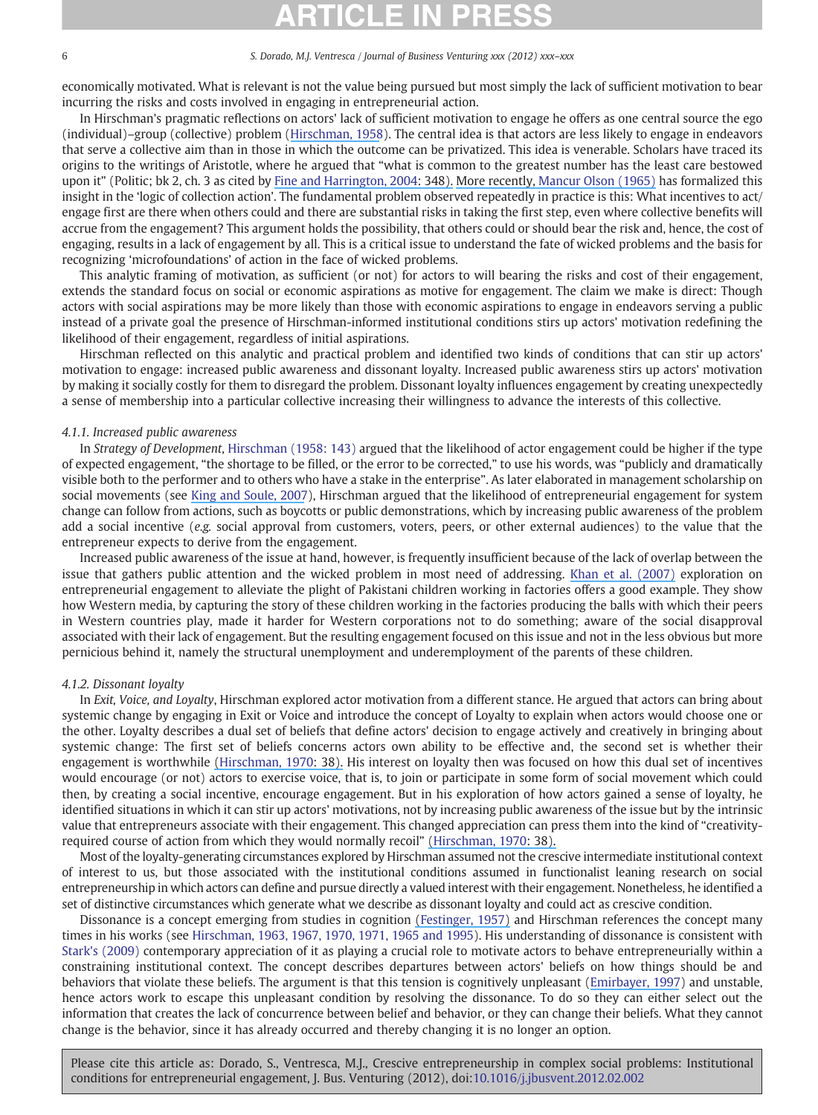economically motivated. What is relevant is not the value being pursued but most simply the lack of sufficient motivation to bear incurring the risks and costs involved in engaging in entrepreneurial action.

In Hirschman's pragmatic reflections on actors' lack of sufficient motivation to engage he offers as one central source the ego (individual)–group (collective) problem [\(Hirschman, 1958](#page-13-0)). The central idea is that actors are less likely to engage in endeavors that serve a collective aim than in those in which the outcome can be privatized. This idea is venerable. Scholars have traced its origins to the writings of Aristotle, where he argued that "what is common to the greatest number has the least care bestowed upon it" (Politic; bk 2, ch. 3 as cited by [Fine and Harrington, 2004](#page-13-0)[: 348\).](https://www.researchgate.net/publication/227793198_Tiny_Publics_Small_Groups_and_Civil_Society?el=1_x_8&enrichId=rgreq-4ecb2d3bc00dc12eef780f0dd4dfdcb2-XXX&enrichSource=Y292ZXJQYWdlOzI1NzI2Njc1NztBUzoxMDM3ODgyOTk5NDgwMzNAMTQwMTc1NjQ2NzA3Nw==) More recently, [Mancur Olson \(1965\)](#page-14-0) has formalized this insight in the 'logic of collection action'. The fundamental problem observed repeatedly in practice is this: What incentives to act/ engage first are there when others could and there are substantial risks in taking the first step, even where collective benefits will accrue from the engagement? This argument holds the possibility, that others could or should bear the risk and, hence, the cost of engaging, results in a lack of engagement by all. This is a critical issue to understand the fate of wicked problems and the basis for recognizing 'microfoundations' of action in the face of wicked problems.

This analytic framing of motivation, as sufficient (or not) for actors to will bearing the risks and cost of their engagement, extends the standard focus on social or economic aspirations as motive for engagement. The claim we make is direct: Though actors with social aspirations may be more likely than those with economic aspirations to engage in endeavors serving a public instead of a private goal the presence of Hirschman-informed institutional conditions stirs up actors' motivation redefining the likelihood of their engagement, regardless of initial aspirations.

Hirschman reflected on this analytic and practical problem and identified two kinds of conditions that can stir up actors' motivation to engage: increased public awareness and dissonant loyalty. Increased public awareness stirs up actors' motivation by making it socially costly for them to disregard the problem. Dissonant loyalty influences engagement by creating unexpectedly a sense of membership into a particular collective increasing their willingness to advance the interests of this collective.

### 4.1.1. Increased public awareness

In Strategy of Development, [Hirschman \(1958: 143\)](#page-13-0) argued that the likelihood of actor engagement could be higher if the type of expected engagement, "the shortage to be filled, or the error to be corrected," to use his words, was "publicly and dramatically visible both to the performer and to others who have a stake in the enterprise". As later elaborated in management scholarship on social movements (see [King and Soule, 2007\)](#page-13-0), Hirschman argued that the likelihood of entrepreneurial engagement for system change can follow from actions, such as boycotts or public demonstrations, which by increasing public awareness of the problem add a social incentive (e.g. social approval from customers, voters, peers, or other external audiences) to the value that the entrepreneur expects to derive from the engagement.

Increased public awareness of the issue at hand, however, is frequently insufficient because of the lack of overlap between the issue that gathers public attention and the wicked problem in most need of addressing. [Khan](https://www.researchgate.net/publication/247734716_A_Dark_Side_of_Institutional_Entrepreneurship_Soccer_Balls_Child_Labour_and_Postcolonial_Impoverishment?el=1_x_8&enrichId=rgreq-4ecb2d3bc00dc12eef780f0dd4dfdcb2-XXX&enrichSource=Y292ZXJQYWdlOzI1NzI2Njc1NztBUzoxMDM3ODgyOTk5NDgwMzNAMTQwMTc1NjQ2NzA3Nw==)[et](https://www.researchgate.net/publication/247734716_A_Dark_Side_of_Institutional_Entrepreneurship_Soccer_Balls_Child_Labour_and_Postcolonial_Impoverishment?el=1_x_8&enrichId=rgreq-4ecb2d3bc00dc12eef780f0dd4dfdcb2-XXX&enrichSource=Y292ZXJQYWdlOzI1NzI2Njc1NztBUzoxMDM3ODgyOTk5NDgwMzNAMTQwMTc1NjQ2NzA3Nw==)[al.](https://www.researchgate.net/publication/247734716_A_Dark_Side_of_Institutional_Entrepreneurship_Soccer_Balls_Child_Labour_and_Postcolonial_Impoverishment?el=1_x_8&enrichId=rgreq-4ecb2d3bc00dc12eef780f0dd4dfdcb2-XXX&enrichSource=Y292ZXJQYWdlOzI1NzI2Njc1NztBUzoxMDM3ODgyOTk5NDgwMzNAMTQwMTc1NjQ2NzA3Nw==)[\(2007\)](https://www.researchgate.net/publication/247734716_A_Dark_Side_of_Institutional_Entrepreneurship_Soccer_Balls_Child_Labour_and_Postcolonial_Impoverishment?el=1_x_8&enrichId=rgreq-4ecb2d3bc00dc12eef780f0dd4dfdcb2-XXX&enrichSource=Y292ZXJQYWdlOzI1NzI2Njc1NztBUzoxMDM3ODgyOTk5NDgwMzNAMTQwMTc1NjQ2NzA3Nw==) exploration on entrepreneurial engagement to alleviate the plight of Pakistani children working in factories offers a good example. They show how Western media, by capturing the story of these children working in the factories producing the balls with which their peers in Western countries play, made it harder for Western corporations not to do something; aware of the social disapproval associated with their lack of engagement. But the resulting engagement focused on this issue and not in the less obvious but more pernicious behind it, namely the structural unemployment and underemployment of the parents of these children.

### 4.1.2. Dissonant loyalty

In Exit, Voice, and Loyalty, Hirschman explored actor motivation from a different stance. He argued that actors can bring about systemic change by engaging in Exit or Voice and introduce the concept of Loyalty to explain when actors would choose one or the other. Loyalty describes a dual set of beliefs that define actors' decision to engage actively and creatively in bringing about systemic change: The first set of beliefs concerns actors own ability to be effective and, the second set is whether their engagement is worthwhile [\(](https://www.researchgate.net/publication/233756476_Exit_Voice_Loyalty_Response_to_Decline_in_Firms_Organizations_and_States?el=1_x_8&enrichId=rgreq-4ecb2d3bc00dc12eef780f0dd4dfdcb2-XXX&enrichSource=Y292ZXJQYWdlOzI1NzI2Njc1NztBUzoxMDM3ODgyOTk5NDgwMzNAMTQwMTc1NjQ2NzA3Nw==)[Hirschman, 197](#page-13-0)[0: 38\).](https://www.researchgate.net/publication/233756476_Exit_Voice_Loyalty_Response_to_Decline_in_Firms_Organizations_and_States?el=1_x_8&enrichId=rgreq-4ecb2d3bc00dc12eef780f0dd4dfdcb2-XXX&enrichSource=Y292ZXJQYWdlOzI1NzI2Njc1NztBUzoxMDM3ODgyOTk5NDgwMzNAMTQwMTc1NjQ2NzA3Nw==) His interest on loyalty then was focused on how this dual set of incentives would encourage (or not) actors to exercise voice, that is, to join or participate in some form of social movement which could then, by creating a social incentive, encourage engagement. But in his exploration of how actors gained a sense of loyalty, he identified situations in which it can stir up actors' motivations, not by increasing public awareness of the issue but by the intrinsic value that entrepreneurs associate with their engagement. This changed appreciation can press them into the kind of "creativityrequired course of action from which they would normally recoil" [\(Hirschman,](https://www.researchgate.net/publication/233756476_Exit_Voice_Loyalty_Response_to_Decline_in_Firms_Organizations_and_States?el=1_x_8&enrichId=rgreq-4ecb2d3bc00dc12eef780f0dd4dfdcb2-XXX&enrichSource=Y292ZXJQYWdlOzI1NzI2Njc1NztBUzoxMDM3ODgyOTk5NDgwMzNAMTQwMTc1NjQ2NzA3Nw==)[1970: 38\).](https://www.researchgate.net/publication/233756476_Exit_Voice_Loyalty_Response_to_Decline_in_Firms_Organizations_and_States?el=1_x_8&enrichId=rgreq-4ecb2d3bc00dc12eef780f0dd4dfdcb2-XXX&enrichSource=Y292ZXJQYWdlOzI1NzI2Njc1NztBUzoxMDM3ODgyOTk5NDgwMzNAMTQwMTc1NjQ2NzA3Nw==)

Most of the loyalty-generating circumstances explored by Hirschman assumed not the crescive intermediate institutional context of interest to us, but those associated with the institutional conditions assumed in functionalist leaning research on social entrepreneurship in which actors can define and pursue directly a valued interest with their engagement. Nonetheless, he identified a set of distinctive circumstances which generate what we describe as dissonant loyalty and could act as crescive condition.

Dissonance is a concept emerging from studies in cognition [\(F](https://www.researchgate.net/publication/37701793_A_Theory_of_Cognitive_Dissonance?el=1_x_8&enrichId=rgreq-4ecb2d3bc00dc12eef780f0dd4dfdcb2-XXX&enrichSource=Y292ZXJQYWdlOzI1NzI2Njc1NztBUzoxMDM3ODgyOTk5NDgwMzNAMTQwMTc1NjQ2NzA3Nw==)[estinger, 1957](#page-13-0)[\)](https://www.researchgate.net/publication/37701793_A_Theory_of_Cognitive_Dissonance?el=1_x_8&enrichId=rgreq-4ecb2d3bc00dc12eef780f0dd4dfdcb2-XXX&enrichSource=Y292ZXJQYWdlOzI1NzI2Njc1NztBUzoxMDM3ODgyOTk5NDgwMzNAMTQwMTc1NjQ2NzA3Nw==) and Hirschman references the concept many times in his works (see [Hirschman, 1963, 1967, 1970, 1971, 1965 and 1995](#page-13-0)). His understanding of dissonance is consistent with [Stark's \(2009\)](#page-14-0) contemporary appreciation of it as playing a crucial role to motivate actors to behave entrepreneurially within a constraining institutional context. The concept describes departures between actors' beliefs on how things should be and behaviors that violate these beliefs. The argument is that this tension is cognitively unpleasant ([Emirbayer,](https://www.researchgate.net/publication/246757783_A_Manifesto_for_a_Relational_Sociology?el=1_x_8&enrichId=rgreq-4ecb2d3bc00dc12eef780f0dd4dfdcb2-XXX&enrichSource=Y292ZXJQYWdlOzI1NzI2Njc1NztBUzoxMDM3ODgyOTk5NDgwMzNAMTQwMTc1NjQ2NzA3Nw==)[199](https://www.researchgate.net/publication/246757783_A_Manifesto_for_a_Relational_Sociology?el=1_x_8&enrichId=rgreq-4ecb2d3bc00dc12eef780f0dd4dfdcb2-XXX&enrichSource=Y292ZXJQYWdlOzI1NzI2Njc1NztBUzoxMDM3ODgyOTk5NDgwMzNAMTQwMTc1NjQ2NzA3Nw==)[7\)](#page-13-0) and unstable, hence actors work to escape this unpleasant condition by resolving the dissonance. To do so they can either select out the information that creates the lack of concurrence between belief and behavior, or they can change their beliefs. What they cannot change is the behavior, since it has already occurred and thereby changing it is no longer an option.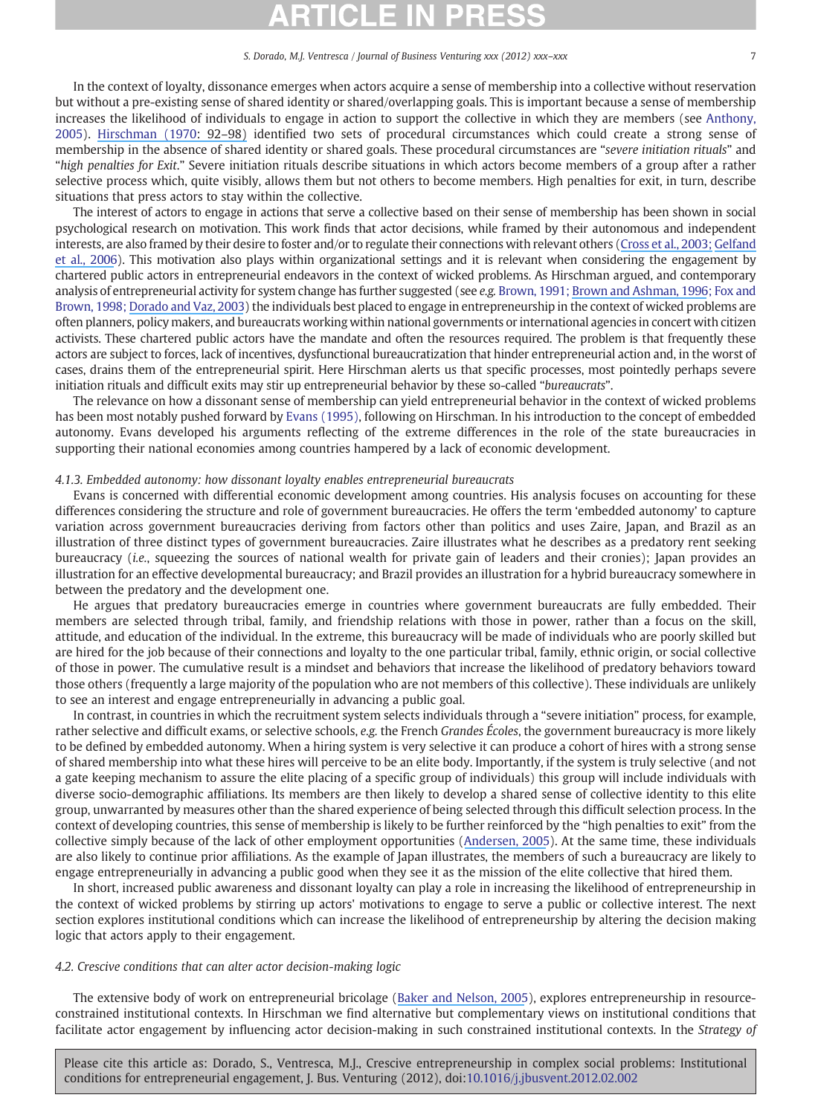In the context of loyalty, dissonance emerges when actors acquire a sense of membership into a collective without reservation but without a pre-existing sense of shared identity or shared/overlapping goals. This is important because a sense of membership increases the likelihood of individuals to engage in action to support the collective in which they are members (see [Anthony,](#page-13-0) [2005](#page-13-0)). [Hirschman \(1970](#page-13-0)[: 92](https://www.researchgate.net/publication/233756476_Exit_Voice_Loyalty_Response_to_Decline_in_Firms_Organizations_and_States?el=1_x_8&enrichId=rgreq-4ecb2d3bc00dc12eef780f0dd4dfdcb2-XXX&enrichSource=Y292ZXJQYWdlOzI1NzI2Njc1NztBUzoxMDM3ODgyOTk5NDgwMzNAMTQwMTc1NjQ2NzA3Nw==)–98) identified two sets of procedural circumstances which could create a strong sense of membership in the absence of shared identity or shared goals. These procedural circumstances are "severe initiation rituals" and "high penalties for Exit." Severe initiation rituals describe situations in which actors become members of a group after a rather selective process which, quite visibly, allows them but not others to become members. High penalties for exit, in turn, describe situations that press actors to stay within the collective.

The interest of actors to engage in actions that serve a collective based on their sense of membership has been shown in social psychological research on motivation. This work finds that actor decisions, while framed by their autonomous and independent interests, are also framed by their desire to foster and/or to regulate their connections with relevant others [\(Cross et al., 2003; Gelfand](#page-13-0) [et](https://www.researchgate.net/publication/37149718_Negotiating_Relationally_The_Dynamics_of_the_Relational_Self_In_Negotiations?el=1_x_8&enrichId=rgreq-4ecb2d3bc00dc12eef780f0dd4dfdcb2-XXX&enrichSource=Y292ZXJQYWdlOzI1NzI2Njc1NztBUzoxMDM3ODgyOTk5NDgwMzNAMTQwMTc1NjQ2NzA3Nw==)[al.,](https://www.researchgate.net/publication/37149718_Negotiating_Relationally_The_Dynamics_of_the_Relational_Self_In_Negotiations?el=1_x_8&enrichId=rgreq-4ecb2d3bc00dc12eef780f0dd4dfdcb2-XXX&enrichSource=Y292ZXJQYWdlOzI1NzI2Njc1NztBUzoxMDM3ODgyOTk5NDgwMzNAMTQwMTc1NjQ2NzA3Nw==)[200](https://www.researchgate.net/publication/37149718_Negotiating_Relationally_The_Dynamics_of_the_Relational_Self_In_Negotiations?el=1_x_8&enrichId=rgreq-4ecb2d3bc00dc12eef780f0dd4dfdcb2-XXX&enrichSource=Y292ZXJQYWdlOzI1NzI2Njc1NztBUzoxMDM3ODgyOTk5NDgwMzNAMTQwMTc1NjQ2NzA3Nw==)[6\)](#page-13-0). This motivation also plays within organizational settings and it is relevant when considering the engagement by chartered public actors in entrepreneurial endeavors in the context of wicked problems. As Hirschman argued, and contemporary analysis of entrepreneurial activity for system change has further suggested (see e.g. [Brown, 1991; Brown and Ashman, 1996; Fox and](#page-13-0) [Brown, 1998; Dorado and Vaz, 2003\)](#page-13-0) the individuals best placed to engage in entrepreneurship in the context of wicked problems are often planners, policy makers, and bureaucrats working within national governments or international agencies in concert with citizen activists. These chartered public actors have the mandate and often the resources required. The problem is that frequently these actors are subject to forces, lack of incentives, dysfunctional bureaucratization that hinder entrepreneurial action and, in the worst of cases, drains them of the entrepreneurial spirit. Here Hirschman alerts us that specific processes, most pointedly perhaps severe initiation rituals and difficult exits may stir up entrepreneurial behavior by these so-called "bureaucrats".

The relevance on how a dissonant sense of membership can yield entrepreneurial behavior in the context of wicked problems has been most notably pushed forward by [Evans \(1995\),](#page-13-0) following on Hirschman. In his introduction to the concept of embedded autonomy. Evans developed his arguments reflecting of the extreme differences in the role of the state bureaucracies in supporting their national economies among countries hampered by a lack of economic development.

### 4.1.3. Embedded autonomy: how dissonant loyalty enables entrepreneurial bureaucrats

Evans is concerned with differential economic development among countries. His analysis focuses on accounting for these differences considering the structure and role of government bureaucracies. He offers the term 'embedded autonomy' to capture variation across government bureaucracies deriving from factors other than politics and uses Zaire, Japan, and Brazil as an illustration of three distinct types of government bureaucracies. Zaire illustrates what he describes as a predatory rent seeking bureaucracy (i.e., squeezing the sources of national wealth for private gain of leaders and their cronies); Japan provides an illustration for an effective developmental bureaucracy; and Brazil provides an illustration for a hybrid bureaucracy somewhere in between the predatory and the development one.

He argues that predatory bureaucracies emerge in countries where government bureaucrats are fully embedded. Their members are selected through tribal, family, and friendship relations with those in power, rather than a focus on the skill, attitude, and education of the individual. In the extreme, this bureaucracy will be made of individuals who are poorly skilled but are hired for the job because of their connections and loyalty to the one particular tribal, family, ethnic origin, or social collective of those in power. The cumulative result is a mindset and behaviors that increase the likelihood of predatory behaviors toward those others (frequently a large majority of the population who are not members of this collective). These individuals are unlikely to see an interest and engage entrepreneurially in advancing a public goal.

In contrast, in countries in which the recruitment system selects individuals through a "severe initiation" process, for example, rather selective and difficult exams, or selective schools, e.g. the French Grandes Écoles, the government bureaucracy is more likely to be defined by embedded autonomy. When a hiring system is very selective it can produce a cohort of hires with a strong sense of shared membership into what these hires will perceive to be an elite body. Importantly, if the system is truly selective (and not a gate keeping mechanism to assure the elite placing of a specific group of individuals) this group will include individuals with diverse socio-demographic affiliations. Its members are then likely to develop a shared sense of collective identity to this elite group, unwarranted by measures other than the shared experience of being selected through this difficult selection process. In the context of developing countries, this sense of membership is likely to be further reinforced by the "high penalties to exit" from the collective simply because of the lack of other employment opportunities ([Andersen,](https://www.researchgate.net/publication/46467958_Social_Mobility_in_Bolivia_is_Finally_Improving?el=1_x_8&enrichId=rgreq-4ecb2d3bc00dc12eef780f0dd4dfdcb2-XXX&enrichSource=Y292ZXJQYWdlOzI1NzI2Njc1NztBUzoxMDM3ODgyOTk5NDgwMzNAMTQwMTc1NjQ2NzA3Nw==)[200](https://www.researchgate.net/publication/46467958_Social_Mobility_in_Bolivia_is_Finally_Improving?el=1_x_8&enrichId=rgreq-4ecb2d3bc00dc12eef780f0dd4dfdcb2-XXX&enrichSource=Y292ZXJQYWdlOzI1NzI2Njc1NztBUzoxMDM3ODgyOTk5NDgwMzNAMTQwMTc1NjQ2NzA3Nw==)[5\)](#page-13-0). At the same time, these individuals are also likely to continue prior affiliations. As the example of Japan illustrates, the members of such a bureaucracy are likely to engage entrepreneurially in advancing a public good when they see it as the mission of the elite collective that hired them.

In short, increased public awareness and dissonant loyalty can play a role in increasing the likelihood of entrepreneurship in the context of wicked problems by stirring up actors' motivations to engage to serve a public or collective interest. The next section explores institutional conditions which can increase the likelihood of entrepreneurship by altering the decision making logic that actors apply to their engagement.

#### 4.2. Crescive conditions that can alter actor decision-making logic

The extensive body of work on entrepreneurial bricolage [\(Baker and Nelson, 2005](#page-13-0)), explores entrepreneurship in resourceconstrained institutional contexts. In Hirschman we find alternative but complementary views on institutional conditions that facilitate actor engagement by influencing actor decision-making in such constrained institutional contexts. In the Strategy of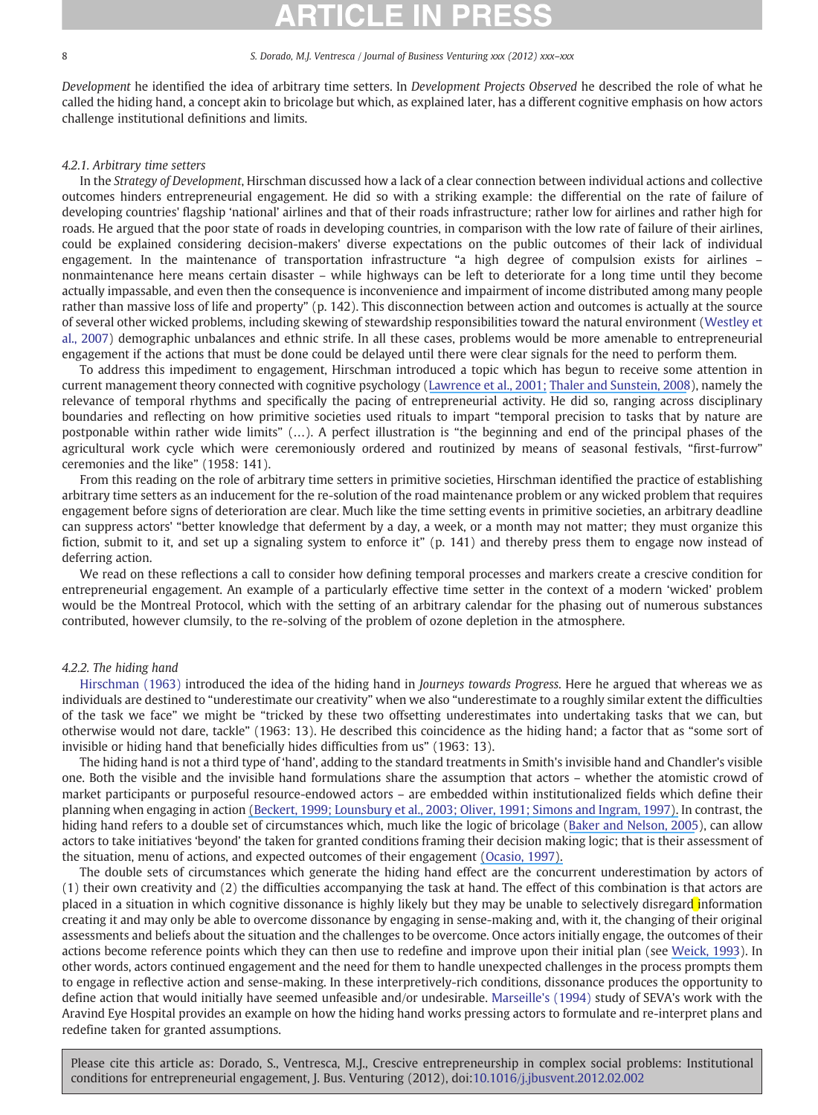Development he identified the idea of arbitrary time setters. In Development Projects Observed he described the role of what he called the hiding hand, a concept akin to bricolage but which, as explained later, has a different cognitive emphasis on how actors challenge institutional definitions and limits.

### 4.2.1. Arbitrary time setters

In the Strategy of Development, Hirschman discussed how a lack of a clear connection between individual actions and collective outcomes hinders entrepreneurial engagement. He did so with a striking example: the differential on the rate of failure of developing countries' flagship 'national' airlines and that of their roads infrastructure; rather low for airlines and rather high for roads. He argued that the poor state of roads in developing countries, in comparison with the low rate of failure of their airlines, could be explained considering decision-makers' diverse expectations on the public outcomes of their lack of individual engagement. In the maintenance of transportation infrastructure "a high degree of compulsion exists for airlines – nonmaintenance here means certain disaster – while highways can be left to deteriorate for a long time until they become actually impassable, and even then the consequence is inconvenience and impairment of income distributed among many people rather than massive loss of life and property" (p. 142). This disconnection between action and outcomes is actually at the source of several other wicked problems, including skewing of stewardship responsibilities toward the natural environment ([Westley et](#page-14-0) [al., 2007](#page-14-0)) demographic unbalances and ethnic strife. In all these cases, problems would be more amenable to entrepreneurial engagement if the actions that must be done could be delayed until there were clear signals for the need to perform them.

To address this impediment to engagement, Hirschman introduced a topic which has begun to receive some attention in current management theory connected with cognitive psychology [\(Lawrence et al., 2001; Thaler and Sunstein, 2008](#page-14-0)), namely the relevance of temporal rhythms and specifically the pacing of entrepreneurial activity. He did so, ranging across disciplinary boundaries and reflecting on how primitive societies used rituals to impart "temporal precision to tasks that by nature are postponable within rather wide limits" (…). A perfect illustration is "the beginning and end of the principal phases of the agricultural work cycle which were ceremoniously ordered and routinized by means of seasonal festivals, "first-furrow" ceremonies and the like" (1958: 141).

From this reading on the role of arbitrary time setters in primitive societies, Hirschman identified the practice of establishing arbitrary time setters as an inducement for the re-solution of the road maintenance problem or any wicked problem that requires engagement before signs of deterioration are clear. Much like the time setting events in primitive societies, an arbitrary deadline can suppress actors' "better knowledge that deferment by a day, a week, or a month may not matter; they must organize this fiction, submit to it, and set up a signaling system to enforce it" (p. 141) and thereby press them to engage now instead of deferring action.

We read on these reflections a call to consider how defining temporal processes and markers create a crescive condition for entrepreneurial engagement. An example of a particularly effective time setter in the context of a modern 'wicked' problem would be the Montreal Protocol, which with the setting of an arbitrary calendar for the phasing out of numerous substances contributed, however clumsily, to the re-solving of the problem of ozone depletion in the atmosphere.

#### 4.2.2. The hiding hand

[Hirschman \(1963\)](#page-13-0) introduced the idea of the hiding hand in Journeys towards Progress. Here he argued that whereas we as individuals are destined to "underestimate our creativity" when we also "underestimate to a roughly similar extent the difficulties of the task we face" we might be "tricked by these two offsetting underestimates into undertaking tasks that we can, but otherwise would not dare, tackle" (1963: 13). He described this coincidence as the hiding hand; a factor that as "some sort of invisible or hiding hand that beneficially hides difficulties from us" (1963: 13).

The hiding hand is not a third type of 'hand', adding to the standard treatments in Smith's invisible hand and Chandler's visible one. Both the visible and the invisible hand formulations share the assumption that actors – whether the atomistic crowd of market participants or purposeful resource-endowed actors – are embedded within institutionalized fields which define their planning when engaging in action [\(Beckert,](https://www.researchgate.net/publication/247933632_The_New_Structuralism_in_Organizational_Theory?el=1_x_8&enrichId=rgreq-4ecb2d3bc00dc12eef780f0dd4dfdcb2-XXX&enrichSource=Y292ZXJQYWdlOzI1NzI2Njc1NztBUzoxMDM3ODgyOTk5NDgwMzNAMTQwMTc1NjQ2NzA3Nw==)[1999;](https://www.researchgate.net/publication/247933632_The_New_Structuralism_in_Organizational_Theory?el=1_x_8&enrichId=rgreq-4ecb2d3bc00dc12eef780f0dd4dfdcb2-XXX&enrichSource=Y292ZXJQYWdlOzI1NzI2Njc1NztBUzoxMDM3ODgyOTk5NDgwMzNAMTQwMTc1NjQ2NzA3Nw==)[Lounsbury](https://www.researchgate.net/publication/247933632_The_New_Structuralism_in_Organizational_Theory?el=1_x_8&enrichId=rgreq-4ecb2d3bc00dc12eef780f0dd4dfdcb2-XXX&enrichSource=Y292ZXJQYWdlOzI1NzI2Njc1NztBUzoxMDM3ODgyOTk5NDgwMzNAMTQwMTc1NjQ2NzA3Nw==)[et](https://www.researchgate.net/publication/247933632_The_New_Structuralism_in_Organizational_Theory?el=1_x_8&enrichId=rgreq-4ecb2d3bc00dc12eef780f0dd4dfdcb2-XXX&enrichSource=Y292ZXJQYWdlOzI1NzI2Njc1NztBUzoxMDM3ODgyOTk5NDgwMzNAMTQwMTc1NjQ2NzA3Nw==)[al.,](https://www.researchgate.net/publication/247933632_The_New_Structuralism_in_Organizational_Theory?el=1_x_8&enrichId=rgreq-4ecb2d3bc00dc12eef780f0dd4dfdcb2-XXX&enrichSource=Y292ZXJQYWdlOzI1NzI2Njc1NztBUzoxMDM3ODgyOTk5NDgwMzNAMTQwMTc1NjQ2NzA3Nw==)[2003;](https://www.researchgate.net/publication/247933632_The_New_Structuralism_in_Organizational_Theory?el=1_x_8&enrichId=rgreq-4ecb2d3bc00dc12eef780f0dd4dfdcb2-XXX&enrichSource=Y292ZXJQYWdlOzI1NzI2Njc1NztBUzoxMDM3ODgyOTk5NDgwMzNAMTQwMTc1NjQ2NzA3Nw==)[Oliver,](https://www.researchgate.net/publication/247933632_The_New_Structuralism_in_Organizational_Theory?el=1_x_8&enrichId=rgreq-4ecb2d3bc00dc12eef780f0dd4dfdcb2-XXX&enrichSource=Y292ZXJQYWdlOzI1NzI2Njc1NztBUzoxMDM3ODgyOTk5NDgwMzNAMTQwMTc1NjQ2NzA3Nw==)[1991;](https://www.researchgate.net/publication/247933632_The_New_Structuralism_in_Organizational_Theory?el=1_x_8&enrichId=rgreq-4ecb2d3bc00dc12eef780f0dd4dfdcb2-XXX&enrichSource=Y292ZXJQYWdlOzI1NzI2Njc1NztBUzoxMDM3ODgyOTk5NDgwMzNAMTQwMTc1NjQ2NzA3Nw==)[Simons](https://www.researchgate.net/publication/247933632_The_New_Structuralism_in_Organizational_Theory?el=1_x_8&enrichId=rgreq-4ecb2d3bc00dc12eef780f0dd4dfdcb2-XXX&enrichSource=Y292ZXJQYWdlOzI1NzI2Njc1NztBUzoxMDM3ODgyOTk5NDgwMzNAMTQwMTc1NjQ2NzA3Nw==)[and](https://www.researchgate.net/publication/247933632_The_New_Structuralism_in_Organizational_Theory?el=1_x_8&enrichId=rgreq-4ecb2d3bc00dc12eef780f0dd4dfdcb2-XXX&enrichSource=Y292ZXJQYWdlOzI1NzI2Njc1NztBUzoxMDM3ODgyOTk5NDgwMzNAMTQwMTc1NjQ2NzA3Nw==)[Ingram,](https://www.researchgate.net/publication/247933632_The_New_Structuralism_in_Organizational_Theory?el=1_x_8&enrichId=rgreq-4ecb2d3bc00dc12eef780f0dd4dfdcb2-XXX&enrichSource=Y292ZXJQYWdlOzI1NzI2Njc1NztBUzoxMDM3ODgyOTk5NDgwMzNAMTQwMTc1NjQ2NzA3Nw==)[1997\).](https://www.researchgate.net/publication/247933632_The_New_Structuralism_in_Organizational_Theory?el=1_x_8&enrichId=rgreq-4ecb2d3bc00dc12eef780f0dd4dfdcb2-XXX&enrichSource=Y292ZXJQYWdlOzI1NzI2Njc1NztBUzoxMDM3ODgyOTk5NDgwMzNAMTQwMTc1NjQ2NzA3Nw==) In contrast, the hiding hand refers to a double set of circumstances which, much like the logic of bricolage [\(Baker and Nelson, 2005\)](#page-13-0), can allow actors to take initiatives 'beyond' the taken for granted conditions framing their decision making logic; that is their assessment of the situation, menu of actions, and expected outcomes of their engagement [\(](https://www.researchgate.net/publication/229490929_Toward_an_Attention-Based_View_of_the_Firm?el=1_x_8&enrichId=rgreq-4ecb2d3bc00dc12eef780f0dd4dfdcb2-XXX&enrichSource=Y292ZXJQYWdlOzI1NzI2Njc1NztBUzoxMDM3ODgyOTk5NDgwMzNAMTQwMTc1NjQ2NzA3Nw==)[Ocasio, 199](#page-14-0)[7\).](https://www.researchgate.net/publication/229490929_Toward_an_Attention-Based_View_of_the_Firm?el=1_x_8&enrichId=rgreq-4ecb2d3bc00dc12eef780f0dd4dfdcb2-XXX&enrichSource=Y292ZXJQYWdlOzI1NzI2Njc1NztBUzoxMDM3ODgyOTk5NDgwMzNAMTQwMTc1NjQ2NzA3Nw==)

The double sets of circumstances which generate the hiding hand effect are the concurrent underestimation by actors of (1) their own creativity and (2) the difficulties accompanying the task at hand. The effect of this combination is that actors are placed in a situation in which cognitive dissonance is highly likely but they may be unable to selectively disregard information creating it and may only be able to overcome dissonance by engaging in sense-making and, with it, the changing of their original assessments and beliefs about the situation and the challenges to be overcome. Once actors initially engage, the outcomes of their actions become reference points which they can then use to redefine and improve upon their initial plan (see [Weick, 1993](#page-14-0)). In other words, actors continued engagement and the need for them to handle unexpected challenges in the process prompts them to engage in reflective action and sense-making. In these interpretively-rich conditions, dissonance produces the opportunity to define action that would initially have seemed unfeasible and/or undesirable. [Marseille's \(1994\)](#page-14-0) study of SEVA's work with the Aravind Eye Hospital provides an example on how the hiding hand works pressing actors to formulate and re-interpret plans and redefine taken for granted assumptions.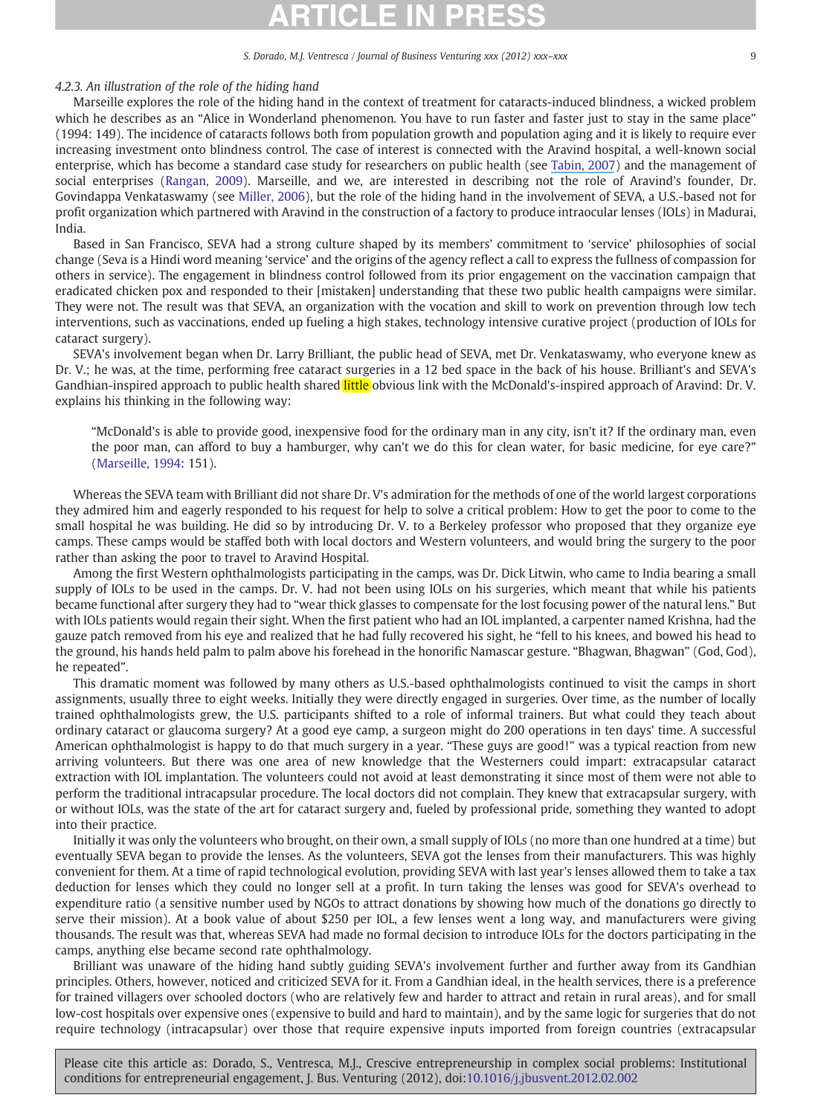### 4.2.3. An illustration of the role of the hiding hand

Marseille explores the role of the hiding hand in the context of treatment for cataracts-induced blindness, a wicked problem which he describes as an "Alice in Wonderland phenomenon. You have to run faster and faster just to stay in the same place" (1994: 149). The incidence of cataracts follows both from population growth and population aging and it is likely to require ever increasing investment onto blindness control. The case of interest is connected with the Aravind hospital, a well-known social enterprise, which has become a standard case study for researchers on public health (see [Tabin, 2007](#page-14-0)) and the management of social enterprises [\(Rangan, 2009](#page-14-0)). Marseille, and we, are interested in describing not the role of Aravind's founder, Dr. Govindappa Venkataswamy (see [Miller, 2006\)](#page-14-0), but the role of the hiding hand in the involvement of SEVA, a U.S.-based not for profit organization which partnered with Aravind in the construction of a factory to produce intraocular lenses (IOLs) in Madurai, India.

Based in San Francisco, SEVA had a strong culture shaped by its members' commitment to 'service' philosophies of social change (Seva is a Hindi word meaning 'service' and the origins of the agency reflect a call to express the fullness of compassion for others in service). The engagement in blindness control followed from its prior engagement on the vaccination campaign that eradicated chicken pox and responded to their [mistaken] understanding that these two public health campaigns were similar. They were not. The result was that SEVA, an organization with the vocation and skill to work on prevention through low tech interventions, such as vaccinations, ended up fueling a high stakes, technology intensive curative project (production of IOLs for cataract surgery).

SEVA's involvement began when Dr. Larry Brilliant, the public head of SEVA, met Dr. Venkataswamy, who everyone knew as Dr. V.; he was, at the time, performing free cataract surgeries in a 12 bed space in the back of his house. Brilliant's and SEVA's Gandhian-inspired approach to public health shared *little* obvious link with the McDonald's-inspired approach of Aravind: Dr. V. explains his thinking in the following way:

"McDonald's is able to provide good, inexpensive food for the ordinary man in any city, isn't it? If the ordinary man, even the poor man, can afford to buy a hamburger, why can't we do this for clean water, for basic medicine, for eye care?" [\(Marseille, 1994](#page-14-0): 151).

Whereas the SEVA team with Brilliant did not share Dr. V's admiration for the methods of one of the world largest corporations they admired him and eagerly responded to his request for help to solve a critical problem: How to get the poor to come to the small hospital he was building. He did so by introducing Dr. V. to a Berkeley professor who proposed that they organize eye camps. These camps would be staffed both with local doctors and Western volunteers, and would bring the surgery to the poor rather than asking the poor to travel to Aravind Hospital.

Among the first Western ophthalmologists participating in the camps, was Dr. Dick Litwin, who came to India bearing a small supply of IOLs to be used in the camps. Dr. V. had not been using IOLs on his surgeries, which meant that while his patients became functional after surgery they had to "wear thick glasses to compensate for the lost focusing power of the natural lens." But with IOLs patients would regain their sight. When the first patient who had an IOL implanted, a carpenter named Krishna, had the gauze patch removed from his eye and realized that he had fully recovered his sight, he "fell to his knees, and bowed his head to the ground, his hands held palm to palm above his forehead in the honorific Namascar gesture. "Bhagwan, Bhagwan" (God, God), he repeated".

This dramatic moment was followed by many others as U.S.-based ophthalmologists continued to visit the camps in short assignments, usually three to eight weeks. Initially they were directly engaged in surgeries. Over time, as the number of locally trained ophthalmologists grew, the U.S. participants shifted to a role of informal trainers. But what could they teach about ordinary cataract or glaucoma surgery? At a good eye camp, a surgeon might do 200 operations in ten days' time. A successful American ophthalmologist is happy to do that much surgery in a year. "These guys are good!" was a typical reaction from new arriving volunteers. But there was one area of new knowledge that the Westerners could impart: extracapsular cataract extraction with IOL implantation. The volunteers could not avoid at least demonstrating it since most of them were not able to perform the traditional intracapsular procedure. The local doctors did not complain. They knew that extracapsular surgery, with or without IOLs, was the state of the art for cataract surgery and, fueled by professional pride, something they wanted to adopt into their practice.

Initially it was only the volunteers who brought, on their own, a small supply of IOLs (no more than one hundred at a time) but eventually SEVA began to provide the lenses. As the volunteers, SEVA got the lenses from their manufacturers. This was highly convenient for them. At a time of rapid technological evolution, providing SEVA with last year's lenses allowed them to take a tax deduction for lenses which they could no longer sell at a profit. In turn taking the lenses was good for SEVA's overhead to expenditure ratio (a sensitive number used by NGOs to attract donations by showing how much of the donations go directly to serve their mission). At a book value of about \$250 per IOL, a few lenses went a long way, and manufacturers were giving thousands. The result was that, whereas SEVA had made no formal decision to introduce IOLs for the doctors participating in the camps, anything else became second rate ophthalmology.

Brilliant was unaware of the hiding hand subtly guiding SEVA's involvement further and further away from its Gandhian principles. Others, however, noticed and criticized SEVA for it. From a Gandhian ideal, in the health services, there is a preference for trained villagers over schooled doctors (who are relatively few and harder to attract and retain in rural areas), and for small low-cost hospitals over expensive ones (expensive to build and hard to maintain), and by the same logic for surgeries that do not require technology (intracapsular) over those that require expensive inputs imported from foreign countries (extracapsular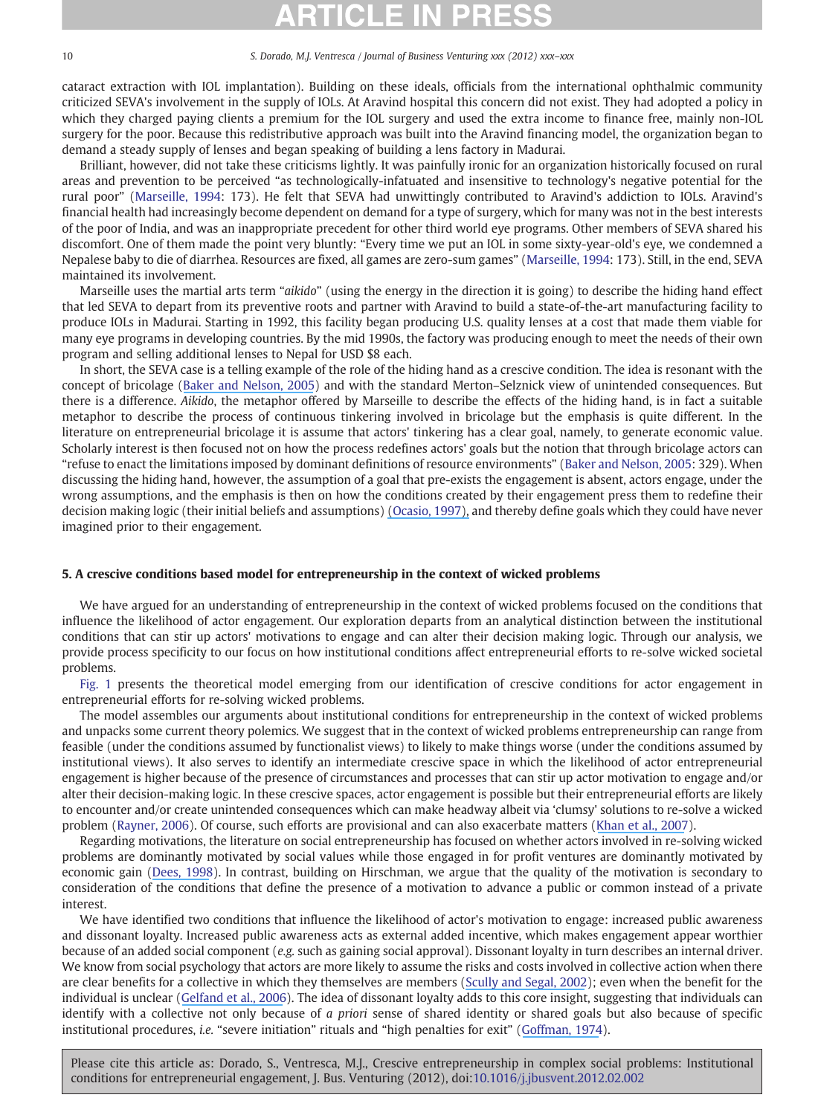cataract extraction with IOL implantation). Building on these ideals, officials from the international ophthalmic community criticized SEVA's involvement in the supply of IOLs. At Aravind hospital this concern did not exist. They had adopted a policy in which they charged paying clients a premium for the IOL surgery and used the extra income to finance free, mainly non-IOL surgery for the poor. Because this redistributive approach was built into the Aravind financing model, the organization began to demand a steady supply of lenses and began speaking of building a lens factory in Madurai.

Brilliant, however, did not take these criticisms lightly. It was painfully ironic for an organization historically focused on rural areas and prevention to be perceived "as technologically-infatuated and insensitive to technology's negative potential for the rural poor" ([Marseille, 1994:](#page-14-0) 173). He felt that SEVA had unwittingly contributed to Aravind's addiction to IOLs. Aravind's financial health had increasingly become dependent on demand for a type of surgery, which for many was not in the best interests of the poor of India, and was an inappropriate precedent for other third world eye programs. Other members of SEVA shared his discomfort. One of them made the point very bluntly: "Every time we put an IOL in some sixty-year-old's eye, we condemned a Nepalese baby to die of diarrhea. Resources are fixed, all games are zero-sum games" [\(Marseille, 1994:](#page-14-0) 173). Still, in the end, SEVA maintained its involvement.

Marseille uses the martial arts term "aikido" (using the energy in the direction it is going) to describe the hiding hand effect that led SEVA to depart from its preventive roots and partner with Aravind to build a state-of-the-art manufacturing facility to produce IOLs in Madurai. Starting in 1992, this facility began producing U.S. quality lenses at a cost that made them viable for many eye programs in developing countries. By the mid 1990s, the factory was producing enough to meet the needs of their own program and selling additional lenses to Nepal for USD \$8 each.

In short, the SEVA case is a telling example of the role of the hiding hand as a crescive condition. The idea is resonant with the concept of bricolage ([Baker and Nelson, 2005](#page-13-0)) and with the standard Merton–Selznick view of unintended consequences. But there is a difference. Aikido, the metaphor offered by Marseille to describe the effects of the hiding hand, is in fact a suitable metaphor to describe the process of continuous tinkering involved in bricolage but the emphasis is quite different. In the literature on entrepreneurial bricolage it is assume that actors' tinkering has a clear goal, namely, to generate economic value. Scholarly interest is then focused not on how the process redefines actors' goals but the notion that through bricolage actors can "refuse to enact the limitations imposed by dominant definitions of resource environments" ([Baker and Nelson, 2005](#page-13-0): 329). When discussing the hiding hand, however, the assumption of a goal that pre-exists the engagement is absent, actors engage, under the wrong assumptions, and the emphasis is then on how the conditions created by their engagement press them to redefine their decision making logic (their initial beliefs and assumptions) [\(](https://www.researchgate.net/publication/229490929_Toward_an_Attention-Based_View_of_the_Firm?el=1_x_8&enrichId=rgreq-4ecb2d3bc00dc12eef780f0dd4dfdcb2-XXX&enrichSource=Y292ZXJQYWdlOzI1NzI2Njc1NztBUzoxMDM3ODgyOTk5NDgwMzNAMTQwMTc1NjQ2NzA3Nw==)[Ocasio, 1997](#page-14-0)[\),](https://www.researchgate.net/publication/229490929_Toward_an_Attention-Based_View_of_the_Firm?el=1_x_8&enrichId=rgreq-4ecb2d3bc00dc12eef780f0dd4dfdcb2-XXX&enrichSource=Y292ZXJQYWdlOzI1NzI2Njc1NztBUzoxMDM3ODgyOTk5NDgwMzNAMTQwMTc1NjQ2NzA3Nw==) and thereby define goals which they could have never imagined prior to their engagement.

### 5. A crescive conditions based model for entrepreneurship in the context of wicked problems

We have argued for an understanding of entrepreneurship in the context of wicked problems focused on the conditions that influence the likelihood of actor engagement. Our exploration departs from an analytical distinction between the institutional conditions that can stir up actors' motivations to engage and can alter their decision making logic. Through our analysis, we provide process specificity to our focus on how institutional conditions affect entrepreneurial efforts to re-solve wicked societal problems.

[Fig. 1](#page-11-0) presents the theoretical model emerging from our identification of crescive conditions for actor engagement in entrepreneurial efforts for re-solving wicked problems.

The model assembles our arguments about institutional conditions for entrepreneurship in the context of wicked problems and unpacks some current theory polemics. We suggest that in the context of wicked problems entrepreneurship can range from feasible (under the conditions assumed by functionalist views) to likely to make things worse (under the conditions assumed by institutional views). It also serves to identify an intermediate crescive space in which the likelihood of actor entrepreneurial engagement is higher because of the presence of circumstances and processes that can stir up actor motivation to engage and/or alter their decision-making logic. In these crescive spaces, actor engagement is possible but their entrepreneurial efforts are likely to encounter and/or create unintended consequences which can make headway albeit via 'clumsy' solutions to re-solve a wicked problem ([Rayner, 2006\)](#page-14-0). Of course, such efforts are provisional and can also exacerbate matters ([Khan et al., 2007](#page-13-0)).

Regarding motivations, the literature on social entrepreneurship has focused on whether actors involved in re-solving wicked problems are dominantly motivated by social values while those engaged in for profit ventures are dominantly motivated by economic gain [\(D](#page-13-0)[ees,](https://www.researchgate.net/publication/13121038_Enterprising_Non-Profits?el=1_x_8&enrichId=rgreq-4ecb2d3bc00dc12eef780f0dd4dfdcb2-XXX&enrichSource=Y292ZXJQYWdlOzI1NzI2Njc1NztBUzoxMDM3ODgyOTk5NDgwMzNAMTQwMTc1NjQ2NzA3Nw==)[199](https://www.researchgate.net/publication/13121038_Enterprising_Non-Profits?el=1_x_8&enrichId=rgreq-4ecb2d3bc00dc12eef780f0dd4dfdcb2-XXX&enrichSource=Y292ZXJQYWdlOzI1NzI2Njc1NztBUzoxMDM3ODgyOTk5NDgwMzNAMTQwMTc1NjQ2NzA3Nw==)[8\)](#page-13-0). In contrast, building on Hirschman, we argue that the quality of the motivation is secondary to consideration of the conditions that define the presence of a motivation to advance a public or common instead of a private interest.

We have identified two conditions that influence the likelihood of actor's motivation to engage: increased public awareness and dissonant loyalty. Increased public awareness acts as external added incentive, which makes engagement appear worthier because of an added social component (e.g. such as gaining social approval). Dissonant loyalty in turn describes an internal driver. We know from social psychology that actors are more likely to assume the risks and costs involved in collective action when there are clear benefits for a collective in which they themselves are members ([Scully](https://www.researchgate.net/publication/235322819_4_Passion_with_an_umbrella_Grassroots_activists_in_the_workplace?el=1_x_8&enrichId=rgreq-4ecb2d3bc00dc12eef780f0dd4dfdcb2-XXX&enrichSource=Y292ZXJQYWdlOzI1NzI2Njc1NztBUzoxMDM3ODgyOTk5NDgwMzNAMTQwMTc1NjQ2NzA3Nw==)[and](https://www.researchgate.net/publication/235322819_4_Passion_with_an_umbrella_Grassroots_activists_in_the_workplace?el=1_x_8&enrichId=rgreq-4ecb2d3bc00dc12eef780f0dd4dfdcb2-XXX&enrichSource=Y292ZXJQYWdlOzI1NzI2Njc1NztBUzoxMDM3ODgyOTk5NDgwMzNAMTQwMTc1NjQ2NzA3Nw==)[Segal,](https://www.researchgate.net/publication/235322819_4_Passion_with_an_umbrella_Grassroots_activists_in_the_workplace?el=1_x_8&enrichId=rgreq-4ecb2d3bc00dc12eef780f0dd4dfdcb2-XXX&enrichSource=Y292ZXJQYWdlOzI1NzI2Njc1NztBUzoxMDM3ODgyOTk5NDgwMzNAMTQwMTc1NjQ2NzA3Nw==)[200](https://www.researchgate.net/publication/235322819_4_Passion_with_an_umbrella_Grassroots_activists_in_the_workplace?el=1_x_8&enrichId=rgreq-4ecb2d3bc00dc12eef780f0dd4dfdcb2-XXX&enrichSource=Y292ZXJQYWdlOzI1NzI2Njc1NztBUzoxMDM3ODgyOTk5NDgwMzNAMTQwMTc1NjQ2NzA3Nw==)[2\)](#page-14-0); even when the benefit for the individual is unclear ([Gelfand et al., 2006](#page-13-0)). The idea of dissonant loyalty adds to this core insight, suggesting that individuals can identify with a collective not only because of a priori sense of shared identity or shared goals but also because of specific institutional procedures, i.e. "severe initiation" rituals and "high penalties for exit" [\(Goffman, 1974\)](#page-13-0).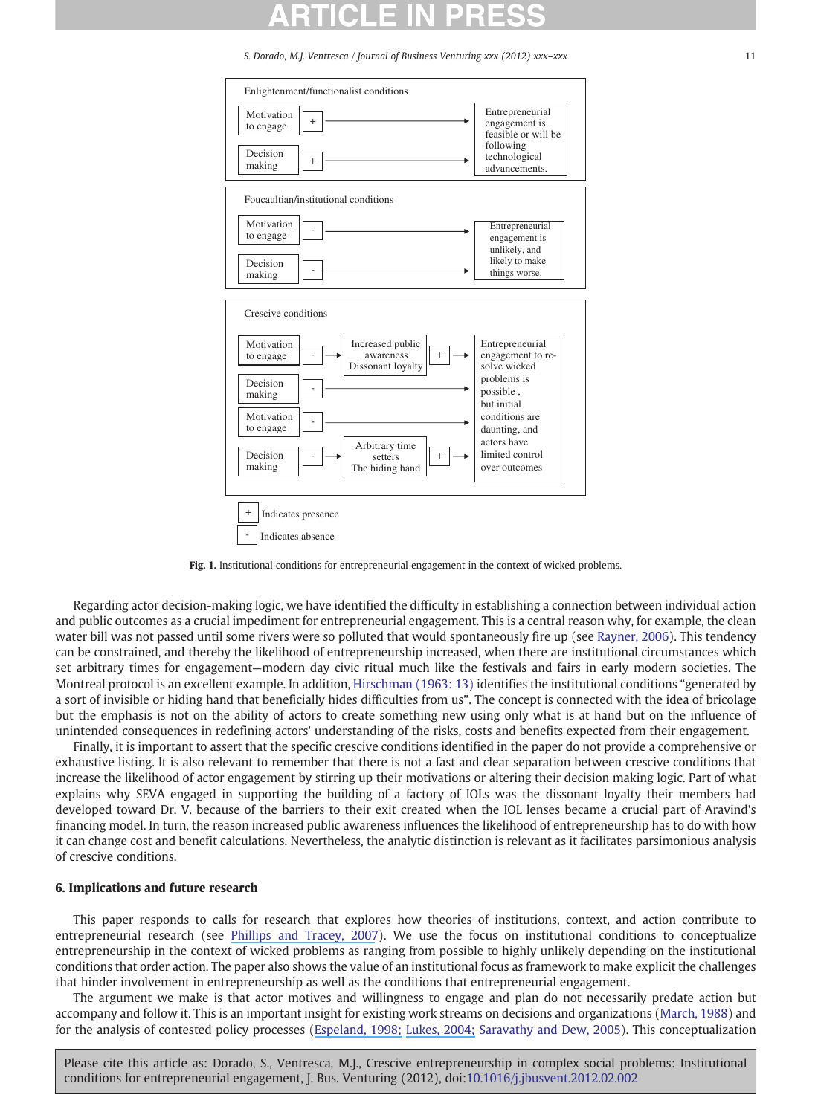<span id="page-11-0"></span>

Fig. 1. Institutional conditions for entrepreneurial engagement in the context of wicked problems.

Regarding actor decision-making logic, we have identified the difficulty in establishing a connection between individual action and public outcomes as a crucial impediment for entrepreneurial engagement. This is a central reason why, for example, the clean water bill was not passed until some rivers were so polluted that would spontaneously fire up (see [Rayner, 2006](#page-14-0)). This tendency can be constrained, and thereby the likelihood of entrepreneurship increased, when there are institutional circumstances which set arbitrary times for engagement—modern day civic ritual much like the festivals and fairs in early modern societies. The Montreal protocol is an excellent example. In addition, [Hirschman \(1963: 13\)](#page-13-0) identifies the institutional conditions "generated by a sort of invisible or hiding hand that beneficially hides difficulties from us". The concept is connected with the idea of bricolage but the emphasis is not on the ability of actors to create something new using only what is at hand but on the influence of unintended consequences in redefining actors' understanding of the risks, costs and benefits expected from their engagement.

Finally, it is important to assert that the specific crescive conditions identified in the paper do not provide a comprehensive or exhaustive listing. It is also relevant to remember that there is not a fast and clear separation between crescive conditions that increase the likelihood of actor engagement by stirring up their motivations or altering their decision making logic. Part of what explains why SEVA engaged in supporting the building of a factory of IOLs was the dissonant loyalty their members had developed toward Dr. V. because of the barriers to their exit created when the IOL lenses became a crucial part of Aravind's financing model. In turn, the reason increased public awareness influences the likelihood of entrepreneurship has to do with how it can change cost and benefit calculations. Nevertheless, the analytic distinction is relevant as it facilitates parsimonious analysis of crescive conditions.

### 6. Implications and future research

This paper responds to calls for research that explores how theories of institutions, context, and action contribute to entrepreneurial research (see [Phillips and Tracey, 2007\)](#page-14-0). We use the focus on institutional conditions to conceptualize entrepreneurship in the context of wicked problems as ranging from possible to highly unlikely depending on the institutional conditions that order action. The paper also shows the value of an institutional focus as framework to make explicit the challenges that hinder involvement in entrepreneurship as well as the conditions that entrepreneurial engagement.

The argument we make is that actor motives and willingness to engage and plan do not necessarily predate action but accompany and follow it. This is an important insight for existing work streams on decisions and organizations [\(March, 1988](#page-14-0)) and for the analysis of contested policy processes [\(Espeland, 1998; Lukes, 2004; Saravathy and Dew, 2005](#page-13-0)). This conceptualization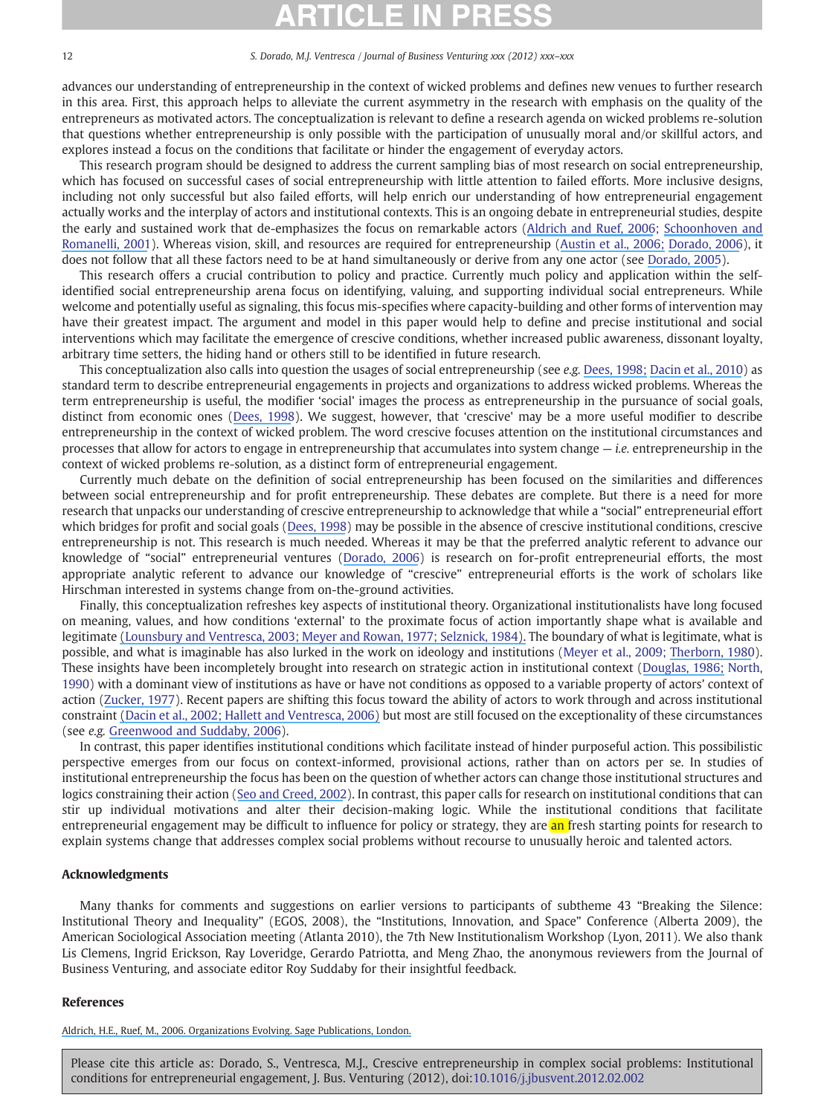advances our understanding of entrepreneurship in the context of wicked problems and defines new venues to further research in this area. First, this approach helps to alleviate the current asymmetry in the research with emphasis on the quality of the entrepreneurs as motivated actors. The conceptualization is relevant to define a research agenda on wicked problems re-solution that questions whether entrepreneurship is only possible with the participation of unusually moral and/or skillful actors, and explores instead a focus on the conditions that facilitate or hinder the engagement of everyday actors.

This research program should be designed to address the current sampling bias of most research on social entrepreneurship, which has focused on successful cases of social entrepreneurship with little attention to failed efforts. More inclusive designs, including not only successful but also failed efforts, will help enrich our understanding of how entrepreneurial engagement actually works and the interplay of actors and institutional contexts. This is an ongoing debate in entrepreneurial studies, despite the early and sustained work that de-emphasizes the focus on remarkable actors ([Aldrich and Ruef, 2006](https://www.researchgate.net/publication/245024168_Organizations_Evolving?el=1_x_8&enrichId=rgreq-4ecb2d3bc00dc12eef780f0dd4dfdcb2-XXX&enrichSource=Y292ZXJQYWdlOzI1NzI2Njc1NztBUzoxMDM3ODgyOTk5NDgwMzNAMTQwMTc1NjQ2NzA3Nw==); [Schoonhoven and](https://www.researchgate.net/publication/37703055_The_Entrepreneurship_Dynamic_Origins_of_Entrepreneurship_and_the_Evolution_of_Industries?el=1_x_8&enrichId=rgreq-4ecb2d3bc00dc12eef780f0dd4dfdcb2-XXX&enrichSource=Y292ZXJQYWdlOzI1NzI2Njc1NztBUzoxMDM3ODgyOTk5NDgwMzNAMTQwMTc1NjQ2NzA3Nw==) [Romanelli, 2001](https://www.researchgate.net/publication/37703055_The_Entrepreneurship_Dynamic_Origins_of_Entrepreneurship_and_the_Evolution_of_Industries?el=1_x_8&enrichId=rgreq-4ecb2d3bc00dc12eef780f0dd4dfdcb2-XXX&enrichSource=Y292ZXJQYWdlOzI1NzI2Njc1NztBUzoxMDM3ODgyOTk5NDgwMzNAMTQwMTc1NjQ2NzA3Nw==)). Whereas vision, skill, and resources are required for entrepreneurship ([Austin et al., 2006; Dorado, 2006](#page-13-0)), it does not follow that all these factors need to be at hand simultaneously or derive from any one actor (see [Dorado,](https://www.researchgate.net/publication/240279698_Institutional_Entrepreneurship_Partaking_and_Convening?el=1_x_8&enrichId=rgreq-4ecb2d3bc00dc12eef780f0dd4dfdcb2-XXX&enrichSource=Y292ZXJQYWdlOzI1NzI2Njc1NztBUzoxMDM3ODgyOTk5NDgwMzNAMTQwMTc1NjQ2NzA3Nw==)[200](https://www.researchgate.net/publication/240279698_Institutional_Entrepreneurship_Partaking_and_Convening?el=1_x_8&enrichId=rgreq-4ecb2d3bc00dc12eef780f0dd4dfdcb2-XXX&enrichSource=Y292ZXJQYWdlOzI1NzI2Njc1NztBUzoxMDM3ODgyOTk5NDgwMzNAMTQwMTc1NjQ2NzA3Nw==)[5](#page-13-0)).

This research offers a crucial contribution to policy and practice. Currently much policy and application within the selfidentified social entrepreneurship arena focus on identifying, valuing, and supporting individual social entrepreneurs. While welcome and potentially useful as signaling, this focus mis-specifies where capacity-building and other forms of intervention may have their greatest impact. The argument and model in this paper would help to define and precise institutional and social interventions which may facilitate the emergence of crescive conditions, whether increased public awareness, dissonant loyalty, arbitrary time setters, the hiding hand or others still to be identified in future research.

This conceptualization also calls into question the usages of social entrepreneurship (see e.g. [Dees,](https://www.researchgate.net/publication/13121038_Enterprising_Non-Profits?el=1_x_8&enrichId=rgreq-4ecb2d3bc00dc12eef780f0dd4dfdcb2-XXX&enrichSource=Y292ZXJQYWdlOzI1NzI2Njc1NztBUzoxMDM3ODgyOTk5NDgwMzNAMTQwMTc1NjQ2NzA3Nw==)[1998;](https://www.researchgate.net/publication/13121038_Enterprising_Non-Profits?el=1_x_8&enrichId=rgreq-4ecb2d3bc00dc12eef780f0dd4dfdcb2-XXX&enrichSource=Y292ZXJQYWdlOzI1NzI2Njc1NztBUzoxMDM3ODgyOTk5NDgwMzNAMTQwMTc1NjQ2NzA3Nw==) [D](#page-13-0)[acin](https://www.researchgate.net/publication/274752776_Social_Entrepreneurship_Why_We_Don) [et](https://www.researchgate.net/publication/274752776_Social_Entrepreneurship_Why_We_Don) [al.,](https://www.researchgate.net/publication/274752776_Social_Entrepreneurship_Why_We_Don) [2010](https://www.researchgate.net/publication/274752776_Social_Entrepreneurship_Why_We_Don)) as standard term to describe entrepreneurial engagements in projects and organizations to address wicked problems. Whereas the term entrepreneurship is useful, the modifier 'social' images the process as entrepreneurship in the pursuance of social goals, distinct from economic ones [\(Dees, 1998](#page-13-0)). We suggest, however, that 'crescive' may be a more useful modifier to describe entrepreneurship in the context of wicked problem. The word crescive focuses attention on the institutional circumstances and processes that allow for actors to engage in entrepreneurship that accumulates into system change  $- i.e.$  entrepreneurship in the context of wicked problems re-solution, as a distinct form of entrepreneurial engagement.

Currently much debate on the definition of social entrepreneurship has been focused on the similarities and differences between social entrepreneurship and for profit entrepreneurship. These debates are complete. But there is a need for more research that unpacks our understanding of crescive entrepreneurship to acknowledge that while a "social" entrepreneurial effort which bridges for profit and social goals [\(Dees, 1998\)](#page-13-0) may be possible in the absence of crescive institutional conditions, crescive entrepreneurship is not. This research is much needed. Whereas it may be that the preferred analytic referent to advance our knowledge of "social" entrepreneurial ventures [\(Dorado, 2006](#page-13-0)) is research on for-profit entrepreneurial efforts, the most appropriate analytic referent to advance our knowledge of "crescive" entrepreneurial efforts is the work of scholars like Hirschman interested in systems change from on-the-ground activities.

Finally, this conceptualization refreshes key aspects of institutional theory. Organizational institutionalists have long focused on meaning, values, and how conditions 'external' to the proximate focus of action importantly shape what is available and legitimate [\(Lounsbury](https://www.researchgate.net/publication/247933632_The_New_Structuralism_in_Organizational_Theory?el=1_x_8&enrichId=rgreq-4ecb2d3bc00dc12eef780f0dd4dfdcb2-XXX&enrichSource=Y292ZXJQYWdlOzI1NzI2Njc1NztBUzoxMDM3ODgyOTk5NDgwMzNAMTQwMTc1NjQ2NzA3Nw==)[and](https://www.researchgate.net/publication/247933632_The_New_Structuralism_in_Organizational_Theory?el=1_x_8&enrichId=rgreq-4ecb2d3bc00dc12eef780f0dd4dfdcb2-XXX&enrichSource=Y292ZXJQYWdlOzI1NzI2Njc1NztBUzoxMDM3ODgyOTk5NDgwMzNAMTQwMTc1NjQ2NzA3Nw==)[Ventresca,](https://www.researchgate.net/publication/247933632_The_New_Structuralism_in_Organizational_Theory?el=1_x_8&enrichId=rgreq-4ecb2d3bc00dc12eef780f0dd4dfdcb2-XXX&enrichSource=Y292ZXJQYWdlOzI1NzI2Njc1NztBUzoxMDM3ODgyOTk5NDgwMzNAMTQwMTc1NjQ2NzA3Nw==)[2003;](https://www.researchgate.net/publication/247933632_The_New_Structuralism_in_Organizational_Theory?el=1_x_8&enrichId=rgreq-4ecb2d3bc00dc12eef780f0dd4dfdcb2-XXX&enrichSource=Y292ZXJQYWdlOzI1NzI2Njc1NztBUzoxMDM3ODgyOTk5NDgwMzNAMTQwMTc1NjQ2NzA3Nw==)[Meyer](https://www.researchgate.net/publication/247933632_The_New_Structuralism_in_Organizational_Theory?el=1_x_8&enrichId=rgreq-4ecb2d3bc00dc12eef780f0dd4dfdcb2-XXX&enrichSource=Y292ZXJQYWdlOzI1NzI2Njc1NztBUzoxMDM3ODgyOTk5NDgwMzNAMTQwMTc1NjQ2NzA3Nw==)[and](https://www.researchgate.net/publication/247933632_The_New_Structuralism_in_Organizational_Theory?el=1_x_8&enrichId=rgreq-4ecb2d3bc00dc12eef780f0dd4dfdcb2-XXX&enrichSource=Y292ZXJQYWdlOzI1NzI2Njc1NztBUzoxMDM3ODgyOTk5NDgwMzNAMTQwMTc1NjQ2NzA3Nw==)[Rowan,](https://www.researchgate.net/publication/247933632_The_New_Structuralism_in_Organizational_Theory?el=1_x_8&enrichId=rgreq-4ecb2d3bc00dc12eef780f0dd4dfdcb2-XXX&enrichSource=Y292ZXJQYWdlOzI1NzI2Njc1NztBUzoxMDM3ODgyOTk5NDgwMzNAMTQwMTc1NjQ2NzA3Nw==)[1977;](https://www.researchgate.net/publication/247933632_The_New_Structuralism_in_Organizational_Theory?el=1_x_8&enrichId=rgreq-4ecb2d3bc00dc12eef780f0dd4dfdcb2-XXX&enrichSource=Y292ZXJQYWdlOzI1NzI2Njc1NztBUzoxMDM3ODgyOTk5NDgwMzNAMTQwMTc1NjQ2NzA3Nw==)[Selznick,](https://www.researchgate.net/publication/247933632_The_New_Structuralism_in_Organizational_Theory?el=1_x_8&enrichId=rgreq-4ecb2d3bc00dc12eef780f0dd4dfdcb2-XXX&enrichSource=Y292ZXJQYWdlOzI1NzI2Njc1NztBUzoxMDM3ODgyOTk5NDgwMzNAMTQwMTc1NjQ2NzA3Nw==)[1984\).](https://www.researchgate.net/publication/247933632_The_New_Structuralism_in_Organizational_Theory?el=1_x_8&enrichId=rgreq-4ecb2d3bc00dc12eef780f0dd4dfdcb2-XXX&enrichSource=Y292ZXJQYWdlOzI1NzI2Njc1NztBUzoxMDM3ODgyOTk5NDgwMzNAMTQwMTc1NjQ2NzA3Nw==) The boundary of what is legitimate, what is possible, and what is imaginable has also lurked in the work on ideology and institutions ([Meyer et al., 2009; Therborn, 1980](#page-14-0)). These insights have been incompletely brought into research on strategic action in institutional context ([Douglas,](https://www.researchgate.net/publication/233820916_How_Institutions_Thin?el=1_x_8&enrichId=rgreq-4ecb2d3bc00dc12eef780f0dd4dfdcb2-XXX&enrichSource=Y292ZXJQYWdlOzI1NzI2Njc1NztBUzoxMDM3ODgyOTk5NDgwMzNAMTQwMTc1NjQ2NzA3Nw==)[1986;](https://www.researchgate.net/publication/233820916_How_Institutions_Thin?el=1_x_8&enrichId=rgreq-4ecb2d3bc00dc12eef780f0dd4dfdcb2-XXX&enrichSource=Y292ZXJQYWdlOzI1NzI2Njc1NztBUzoxMDM3ODgyOTk5NDgwMzNAMTQwMTc1NjQ2NzA3Nw==) [North,](#page-13-0) [1990](#page-13-0)) with a dominant view of institutions as have or have not conditions as opposed to a variable property of actors' context of action [\(Z](#page-14-0)[ucker,](https://www.researchgate.net/publication/224892440_The_Role_of_Institutionalization_in_Cultural_Persistence?el=1_x_8&enrichId=rgreq-4ecb2d3bc00dc12eef780f0dd4dfdcb2-XXX&enrichSource=Y292ZXJQYWdlOzI1NzI2Njc1NztBUzoxMDM3ODgyOTk5NDgwMzNAMTQwMTc1NjQ2NzA3Nw==)[197](https://www.researchgate.net/publication/224892440_The_Role_of_Institutionalization_in_Cultural_Persistence?el=1_x_8&enrichId=rgreq-4ecb2d3bc00dc12eef780f0dd4dfdcb2-XXX&enrichSource=Y292ZXJQYWdlOzI1NzI2Njc1NztBUzoxMDM3ODgyOTk5NDgwMzNAMTQwMTc1NjQ2NzA3Nw==)[7](#page-14-0)). Recent papers are shifting this focus toward the ability of actors to work through and across institutional constraint [\(](https://www.researchgate.net/publication/226866076_Inhabited_Institutions_Social_Interactions_and_Organizational_Forms_in_Gouldner)[Dacin et al., 2002; Hallett and Ventresca, 200](#page-13-0)[6\)](https://www.researchgate.net/publication/226866076_Inhabited_Institutions_Social_Interactions_and_Organizational_Forms_in_Gouldner) but most are still focused on the exceptionality of these circumstances (see e.g. [Greenwood and Suddaby, 2006\)](#page-13-0).

In contrast, this paper identifies institutional conditions which facilitate instead of hinder purposeful action. This possibilistic perspective emerges from our focus on context-informed, provisional actions, rather than on actors per se. In studies of institutional entrepreneurship the focus has been on the question of whether actors can change those institutional structures and logics constraining their action ([Seo and Creed, 2002\)](#page-14-0). In contrast, this paper calls for research on institutional conditions that can stir up individual motivations and alter their decision-making logic. While the institutional conditions that facilitate entrepreneurial engagement may be difficult to influence for policy or strategy, they are an fresh starting points for research to explain systems change that addresses complex social problems without recourse to unusually heroic and talented actors.

### Acknowledgments

Many thanks for comments and suggestions on earlier versions to participants of subtheme 43 "Breaking the Silence: Institutional Theory and Inequality" (EGOS, 2008), the "Institutions, Innovation, and Space" Conference (Alberta 2009), the American Sociological Association meeting (Atlanta 2010), the 7th New Institutionalism Workshop (Lyon, 2011). We also thank Lis Clemens, Ingrid Erickson, Ray Loveridge, Gerardo Patriotta, and Meng Zhao, the anonymous reviewers from the Journal of Business Venturing, and associate editor Roy Suddaby for their insightful feedback.

### References

[Aldrich, H.E., Ruef, M., 2006. Organizations Evolving. Sage Publications, London.](https://www.researchgate.net/publication/245024168_Organizations_Evolving?el=1_x_8&enrichId=rgreq-4ecb2d3bc00dc12eef780f0dd4dfdcb2-XXX&enrichSource=Y292ZXJQYWdlOzI1NzI2Njc1NztBUzoxMDM3ODgyOTk5NDgwMzNAMTQwMTc1NjQ2NzA3Nw==)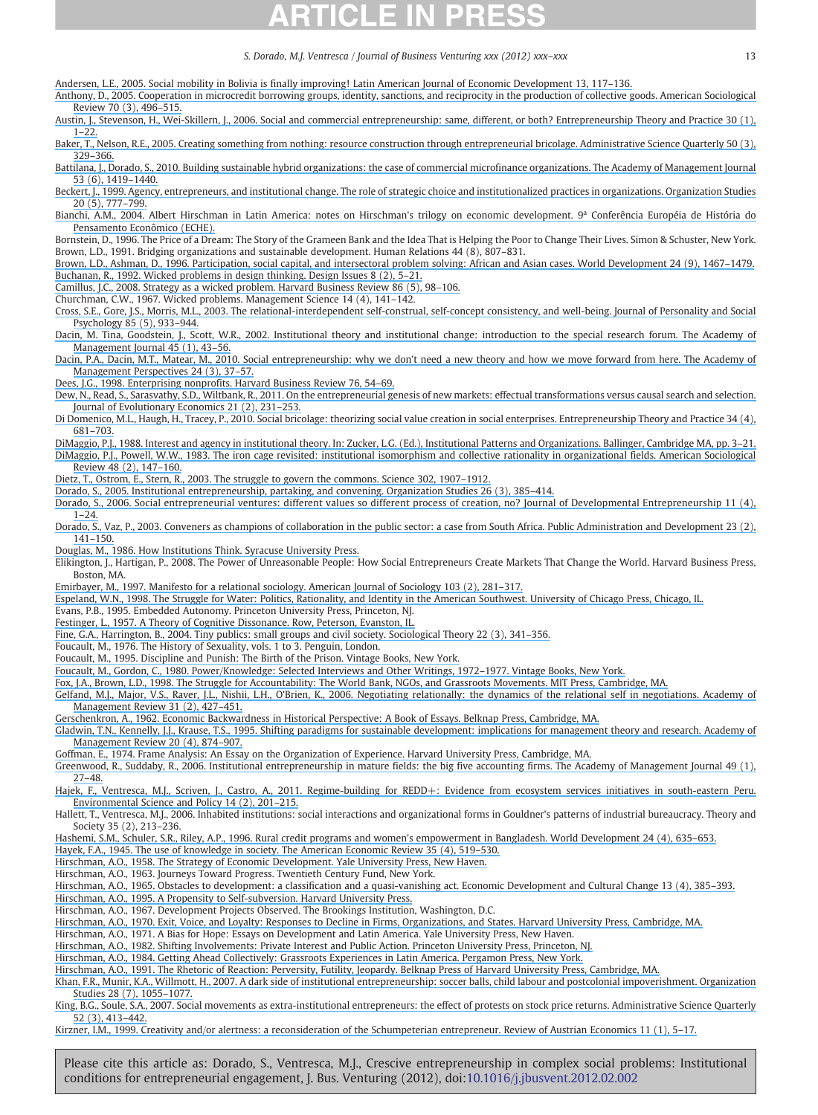## CI E I

S. Dorado, M.J. Ventresca / Journal of Business Venturing xxx (2012) xxx–xxx 13

<span id="page-13-0"></span>[Andersen, L.E., 2005. Social mobility in Bolivia is finally improving! Latin American Journal of Economic Development 13, 117](https://www.researchgate.net/publication/46467958_Social_Mobility_in_Bolivia_is_Finally_Improving?el=1_x_8&enrichId=rgreq-4ecb2d3bc00dc12eef780f0dd4dfdcb2-XXX&enrichSource=Y292ZXJQYWdlOzI1NzI2Njc1NztBUzoxMDM3ODgyOTk5NDgwMzNAMTQwMTc1NjQ2NzA3Nw==)–136. [Anthony, D., 2005. Cooperation in microcredit borrowing groups, identity, sanctions, and reciprocity in the production of collective goods. American Sociological](https://www.researchgate.net/publication/230709231_Cooperation_in_Micro-Credit_Borrowing_Groups_Identity_Sanctions_and_Reciprocity_in_the_Production_of_Collective_Goods?el=1_x_8&enrichId=rgreq-4ecb2d3bc00dc12eef780f0dd4dfdcb2-XXX&enrichSource=Y292ZXJQYWdlOzI1NzI2Njc1NztBUzoxMDM3ODgyOTk5NDgwMzNAMTQwMTc1NjQ2NzA3Nw==)

[Review 70 \(3\), 496](https://www.researchgate.net/publication/230709231_Cooperation_in_Micro-Credit_Borrowing_Groups_Identity_Sanctions_and_Reciprocity_in_the_Production_of_Collective_Goods?el=1_x_8&enrichId=rgreq-4ecb2d3bc00dc12eef780f0dd4dfdcb2-XXX&enrichSource=Y292ZXJQYWdlOzI1NzI2Njc1NztBUzoxMDM3ODgyOTk5NDgwMzNAMTQwMTc1NjQ2NzA3Nw==)–515.

[Austin, J., Stevenson, H., Wei-Skillern, J., 2006. Social and commercial entrepreneurship: same, different, or both? Entrepreneurship Theory and](https://www.researchgate.net/publication/228263352_Social_and_Commercial_Entrepreneurship_Same_Different_or_Both?el=1_x_8&enrichId=rgreq-4ecb2d3bc00dc12eef780f0dd4dfdcb2-XXX&enrichSource=Y292ZXJQYWdlOzI1NzI2Njc1NztBUzoxMDM3ODgyOTk5NDgwMzNAMTQwMTc1NjQ2NzA3Nw==) Practice 30 (1),  $1 - 22$ .

[Baker, T., Nelson, R.E., 2005. Creating something from nothing: resource construction through entrepreneurial bricolage. Administrative Science Quarterly 50 \(3\),](https://www.researchgate.net/publication/228316078_Creating_Something_From_Nothing_Resource_Construction_Through_Entrepreneurial_Bricolage?el=1_x_8&enrichId=rgreq-4ecb2d3bc00dc12eef780f0dd4dfdcb2-XXX&enrichSource=Y292ZXJQYWdlOzI1NzI2Njc1NztBUzoxMDM3ODgyOTk5NDgwMzNAMTQwMTc1NjQ2NzA3Nw==) 329–[366.](https://www.researchgate.net/publication/228316078_Creating_Something_From_Nothing_Resource_Construction_Through_Entrepreneurial_Bricolage?el=1_x_8&enrichId=rgreq-4ecb2d3bc00dc12eef780f0dd4dfdcb2-XXX&enrichSource=Y292ZXJQYWdlOzI1NzI2Njc1NztBUzoxMDM3ODgyOTk5NDgwMzNAMTQwMTc1NjQ2NzA3Nw==)

[Battilana, J., Dorado, S., 2010. Building sustainable hybrid organizations: the case of commercial microfinance organizations. The Academy of Management Journal](https://www.researchgate.net/publication/259285229_Building_Sustainable_Hybrid_Organizations_The_Case_of_Commercial_Microfinance_Organizations?el=1_x_8&enrichId=rgreq-4ecb2d3bc00dc12eef780f0dd4dfdcb2-XXX&enrichSource=Y292ZXJQYWdlOzI1NzI2Njc1NztBUzoxMDM3ODgyOTk5NDgwMzNAMTQwMTc1NjQ2NzA3Nw==) [53 \(6\), 1419](https://www.researchgate.net/publication/259285229_Building_Sustainable_Hybrid_Organizations_The_Case_of_Commercial_Microfinance_Organizations?el=1_x_8&enrichId=rgreq-4ecb2d3bc00dc12eef780f0dd4dfdcb2-XXX&enrichSource=Y292ZXJQYWdlOzI1NzI2Njc1NztBUzoxMDM3ODgyOTk5NDgwMzNAMTQwMTc1NjQ2NzA3Nw==)–1440.

[Beckert, J., 1999. Agency, entrepreneurs, and institutional change. The role of strategic choice and institutionalized practices in organizations. Organization Studies](https://www.researchgate.net/publication/247734321_Agency_Entrepreneurs_and_Institutional_Change_The_Role_of_Strategic_Choice_and_Institutionalized_Practices_in_Organizations?el=1_x_8&enrichId=rgreq-4ecb2d3bc00dc12eef780f0dd4dfdcb2-XXX&enrichSource=Y292ZXJQYWdlOzI1NzI2Njc1NztBUzoxMDM3ODgyOTk5NDgwMzNAMTQwMTc1NjQ2NzA3Nw==) [20 \(5\), 777](https://www.researchgate.net/publication/247734321_Agency_Entrepreneurs_and_Institutional_Change_The_Role_of_Strategic_Choice_and_Institutionalized_Practices_in_Organizations?el=1_x_8&enrichId=rgreq-4ecb2d3bc00dc12eef780f0dd4dfdcb2-XXX&enrichSource=Y292ZXJQYWdlOzI1NzI2Njc1NztBUzoxMDM3ODgyOTk5NDgwMzNAMTQwMTc1NjQ2NzA3Nw==)–799.

[Bianchi, A.M., 2004. Albert Hirschman in Latin America: notes on Hirschman's trilogy on economic development. 9](https://www.researchgate.net/publication/null?el=1_x_8&enrichId=rgreq-4ecb2d3bc00dc12eef780f0dd4dfdcb2-XXX&enrichSource=Y292ZXJQYWdlOzI1NzI2Njc1NztBUzoxMDM3ODgyOTk5NDgwMzNAMTQwMTc1NjQ2NzA3Nw==)<sup>a</sup> Conferência Européia de História do [Pensamento Econômico \(ECHE\).](https://www.researchgate.net/publication/null?el=1_x_8&enrichId=rgreq-4ecb2d3bc00dc12eef780f0dd4dfdcb2-XXX&enrichSource=Y292ZXJQYWdlOzI1NzI2Njc1NztBUzoxMDM3ODgyOTk5NDgwMzNAMTQwMTc1NjQ2NzA3Nw==)

Bornstein, D., 1996. The Price of a Dream: The Story of the Grameen Bank and the Idea That is Helping the Poor to Change Their Lives. Simon & Schuster, New York. Brown, L.D., 1991. Bridging organizations and sustainable development. Human Relations 44 (8), 807–831.

[Brown, L.D., Ashman, D., 1996. Participation, social capital, and intersectoral problem solving: African and Asian cases. World Development 24 \(9\), 1467](https://www.researchgate.net/publication/223827804_Participation_Social_Capital_and_Intersectoral_Problem_Solving_African_and_Asian_Cases?el=1_x_8&enrichId=rgreq-4ecb2d3bc00dc12eef780f0dd4dfdcb2-XXX&enrichSource=Y292ZXJQYWdlOzI1NzI2Njc1NztBUzoxMDM3ODgyOTk5NDgwMzNAMTQwMTc1NjQ2NzA3Nw==)–1479.

[Buchanan, R., 1992. Wicked problems in design thinking. Design Issues 8 \(2\), 5](https://www.researchgate.net/publication/251880127_Wicked_Problems_in_Design_Thinking?el=1_x_8&enrichId=rgreq-4ecb2d3bc00dc12eef780f0dd4dfdcb2-XXX&enrichSource=Y292ZXJQYWdlOzI1NzI2Njc1NztBUzoxMDM3ODgyOTk5NDgwMzNAMTQwMTc1NjQ2NzA3Nw==)–21. [Camillus, J.C., 2008. Strategy as a wicked problem. Harvard Business Review 86 \(5\), 98](https://www.researchgate.net/publication/251880254_Strategy_as_a_Wicked_Problem?el=1_x_8&enrichId=rgreq-4ecb2d3bc00dc12eef780f0dd4dfdcb2-XXX&enrichSource=Y292ZXJQYWdlOzI1NzI2Njc1NztBUzoxMDM3ODgyOTk5NDgwMzNAMTQwMTc1NjQ2NzA3Nw==)–106.

Churchman, C.W., 1967. Wicked problems. Management Science 14 (4), 141–142.

[Cross, S.E., Gore, J.S., Morris, M.L., 2003. The relational-interdependent self-construal, self-concept consistency, and well-being. Journal of Personality and Social](https://www.researchgate.net/publication/null?el=1_x_8&enrichId=rgreq-4ecb2d3bc00dc12eef780f0dd4dfdcb2-XXX&enrichSource=Y292ZXJQYWdlOzI1NzI2Njc1NztBUzoxMDM3ODgyOTk5NDgwMzNAMTQwMTc1NjQ2NzA3Nw==) [Psychology 85 \(5\), 933](https://www.researchgate.net/publication/null?el=1_x_8&enrichId=rgreq-4ecb2d3bc00dc12eef780f0dd4dfdcb2-XXX&enrichSource=Y292ZXJQYWdlOzI1NzI2Njc1NztBUzoxMDM3ODgyOTk5NDgwMzNAMTQwMTc1NjQ2NzA3Nw==)–944.

[Dacin, M. Tina, Goodstein, J., Scott, W.R., 2002. Institutional theory and institutional change: introduction to the special research forum. The Academy of](https://www.researchgate.net/publication/274913361_Institutional_Theory_and_Institutional_Change_Introduction_to_the_Special_Research_Forum?el=1_x_8&enrichId=rgreq-4ecb2d3bc00dc12eef780f0dd4dfdcb2-XXX&enrichSource=Y292ZXJQYWdlOzI1NzI2Njc1NztBUzoxMDM3ODgyOTk5NDgwMzNAMTQwMTc1NjQ2NzA3Nw==) [Management Journal 45 \(1\), 43](https://www.researchgate.net/publication/274913361_Institutional_Theory_and_Institutional_Change_Introduction_to_the_Special_Research_Forum?el=1_x_8&enrichId=rgreq-4ecb2d3bc00dc12eef780f0dd4dfdcb2-XXX&enrichSource=Y292ZXJQYWdlOzI1NzI2Njc1NztBUzoxMDM3ODgyOTk5NDgwMzNAMTQwMTc1NjQ2NzA3Nw==)–56.

[Dacin, P.A., Dacin, M.T., Matear, M., 2010. Social entrepreneurship: why we don't need a new theory and how we move forward from here. The Academy of](https://www.researchgate.net/publication/274752776_Social_Entrepreneurship_Why_We_Don) [Management Perspectives 24 \(3\), 37](https://www.researchgate.net/publication/274752776_Social_Entrepreneurship_Why_We_Don)–57.

[Dees, J.G., 1998. Enterprising nonprofits. Harvard Business Review 76, 54](https://www.researchgate.net/publication/13121038_Enterprising_Non-Profits?el=1_x_8&enrichId=rgreq-4ecb2d3bc00dc12eef780f0dd4dfdcb2-XXX&enrichSource=Y292ZXJQYWdlOzI1NzI2Njc1NztBUzoxMDM3ODgyOTk5NDgwMzNAMTQwMTc1NjQ2NzA3Nw==)–69.

[Dew, N., Read, S., Sarasvathy, S.D., Wiltbank, R., 2011. On the entrepreneurial genesis of new markets: effectual transformations versus causal search and selection.](https://www.researchgate.net/publication/225600743_On_the_entrepreneurial_genesis_of_new_markets_Effectual_transformations_versus_causal_search_and_selection?el=1_x_8&enrichId=rgreq-4ecb2d3bc00dc12eef780f0dd4dfdcb2-XXX&enrichSource=Y292ZXJQYWdlOzI1NzI2Njc1NztBUzoxMDM3ODgyOTk5NDgwMzNAMTQwMTc1NjQ2NzA3Nw==) [Journal of Evolutionary Economics 21 \(2\), 231](https://www.researchgate.net/publication/225600743_On_the_entrepreneurial_genesis_of_new_markets_Effectual_transformations_versus_causal_search_and_selection?el=1_x_8&enrichId=rgreq-4ecb2d3bc00dc12eef780f0dd4dfdcb2-XXX&enrichSource=Y292ZXJQYWdlOzI1NzI2Njc1NztBUzoxMDM3ODgyOTk5NDgwMzNAMTQwMTc1NjQ2NzA3Nw==)–253.

[Di Domenico, M.L., Haugh, H., Tracey, P., 2010. Social bricolage: theorizing social value creation in social enterprises. Entrepreneurship Theory](https://www.researchgate.net/publication/228269861_Social_Bricolage_Theorizing_Social_Value_Creation_in_Social_Enterprises?el=1_x_8&enrichId=rgreq-4ecb2d3bc00dc12eef780f0dd4dfdcb2-XXX&enrichSource=Y292ZXJQYWdlOzI1NzI2Njc1NztBUzoxMDM3ODgyOTk5NDgwMzNAMTQwMTc1NjQ2NzA3Nw==) and Practice 34 (4), 681–[703.](https://www.researchgate.net/publication/228269861_Social_Bricolage_Theorizing_Social_Value_Creation_in_Social_Enterprises?el=1_x_8&enrichId=rgreq-4ecb2d3bc00dc12eef780f0dd4dfdcb2-XXX&enrichSource=Y292ZXJQYWdlOzI1NzI2Njc1NztBUzoxMDM3ODgyOTk5NDgwMzNAMTQwMTc1NjQ2NzA3Nw==)

[DiMaggio, P.J., 1988. Interest and agency in institutional theory. In: Zucker, L.G. \(Ed.\), Institutional Patterns and Organizations. Ballinger, Cambridge MA, pp. 3](https://www.researchgate.net/publication/235413152_Interest_and_Agency_in_Institutional_Theory?el=1_x_8&enrichId=rgreq-4ecb2d3bc00dc12eef780f0dd4dfdcb2-XXX&enrichSource=Y292ZXJQYWdlOzI1NzI2Njc1NztBUzoxMDM3ODgyOTk5NDgwMzNAMTQwMTc1NjQ2NzA3Nw==)–21. [DiMaggio, P.J., Powell, W.W., 1983. The iron cage revisited: institutional isomorphism and collective rationality in organizational fields. American Sociological](https://www.researchgate.net/publication/255482957_The_Iron_Cage_Revisted_Institutional_Isomorphism_and_Collective_Rationality_in_Organizational_Fields?el=1_x_8&enrichId=rgreq-4ecb2d3bc00dc12eef780f0dd4dfdcb2-XXX&enrichSource=Y292ZXJQYWdlOzI1NzI2Njc1NztBUzoxMDM3ODgyOTk5NDgwMzNAMTQwMTc1NjQ2NzA3Nw==)

[Review 48 \(2\), 147](https://www.researchgate.net/publication/255482957_The_Iron_Cage_Revisted_Institutional_Isomorphism_and_Collective_Rationality_in_Organizational_Fields?el=1_x_8&enrichId=rgreq-4ecb2d3bc00dc12eef780f0dd4dfdcb2-XXX&enrichSource=Y292ZXJQYWdlOzI1NzI2Njc1NztBUzoxMDM3ODgyOTk5NDgwMzNAMTQwMTc1NjQ2NzA3Nw==)–160. [Dietz, T., Ostrom, E., Stern, R., 2003. The struggle to govern the commons. Science 302, 1907](https://www.researchgate.net/publication/null?el=1_x_8&enrichId=rgreq-4ecb2d3bc00dc12eef780f0dd4dfdcb2-XXX&enrichSource=Y292ZXJQYWdlOzI1NzI2Njc1NztBUzoxMDM3ODgyOTk5NDgwMzNAMTQwMTc1NjQ2NzA3Nw==)–1912.

[Dorado, S., 2005. Institutional entrepreneurship, partaking, and convening. Organization Studies 26 \(3\), 385](https://www.researchgate.net/publication/240279698_Institutional_Entrepreneurship_Partaking_and_Convening?el=1_x_8&enrichId=rgreq-4ecb2d3bc00dc12eef780f0dd4dfdcb2-XXX&enrichSource=Y292ZXJQYWdlOzI1NzI2Njc1NztBUzoxMDM3ODgyOTk5NDgwMzNAMTQwMTc1NjQ2NzA3Nw==)–414.

[Dorado, S., 2006. Social entrepreneurial ventures: different values so different process of creation, no? Journal of Developmental Entrepreneurship 11 \(4\),](https://www.researchgate.net/publication/23551962_Social_entrepreneurial_ventures_Different_values_so_different_process_of_creation_no?el=1_x_8&enrichId=rgreq-4ecb2d3bc00dc12eef780f0dd4dfdcb2-XXX&enrichSource=Y292ZXJQYWdlOzI1NzI2Njc1NztBUzoxMDM3ODgyOTk5NDgwMzNAMTQwMTc1NjQ2NzA3Nw==)  $1 - 24$ 

[Dorado, S., Vaz, P., 2003. Conveners as champions of collaboration in the public sector: a case from South Africa. Public Administration and Development 23 \(2\),](https://www.researchgate.net/publication/229946652_Conveners_as_champions_of_collaboration_in_the_public_sector_A_case_from_South_Africa?el=1_x_8&enrichId=rgreq-4ecb2d3bc00dc12eef780f0dd4dfdcb2-XXX&enrichSource=Y292ZXJQYWdlOzI1NzI2Njc1NztBUzoxMDM3ODgyOTk5NDgwMzNAMTQwMTc1NjQ2NzA3Nw==) 141–[150.](https://www.researchgate.net/publication/229946652_Conveners_as_champions_of_collaboration_in_the_public_sector_A_case_from_South_Africa?el=1_x_8&enrichId=rgreq-4ecb2d3bc00dc12eef780f0dd4dfdcb2-XXX&enrichSource=Y292ZXJQYWdlOzI1NzI2Njc1NztBUzoxMDM3ODgyOTk5NDgwMzNAMTQwMTc1NjQ2NzA3Nw==)

[Douglas, M., 1986. How Institutions Think. Syracuse University Press.](https://www.researchgate.net/publication/233820916_How_Institutions_Thin?el=1_x_8&enrichId=rgreq-4ecb2d3bc00dc12eef780f0dd4dfdcb2-XXX&enrichSource=Y292ZXJQYWdlOzI1NzI2Njc1NztBUzoxMDM3ODgyOTk5NDgwMzNAMTQwMTc1NjQ2NzA3Nw==)

Elikington, J., Hartigan, P., 2008. The Power of Unreasonable People: How Social Entrepreneurs Create Markets That Change the World. Harvard Business Press, Boston, MA.

[Emirbayer, M., 1997. Manifesto for a relational sociology. American Journal of Sociology 103 \(2\), 281](https://www.researchgate.net/publication/246757783_A_Manifesto_for_a_Relational_Sociology?el=1_x_8&enrichId=rgreq-4ecb2d3bc00dc12eef780f0dd4dfdcb2-XXX&enrichSource=Y292ZXJQYWdlOzI1NzI2Njc1NztBUzoxMDM3ODgyOTk5NDgwMzNAMTQwMTc1NjQ2NzA3Nw==)–317.

[Espeland, W.N., 1998. The Struggle for Water: Politics, Rationality, and Identity in the American Southwest. University of Chicago Press, Chicago,](https://www.researchgate.net/publication/37689414_The_Struggle_for_Water_Politics_Rationality_and_Identity_in_the_American_Southwest?el=1_x_8&enrichId=rgreq-4ecb2d3bc00dc12eef780f0dd4dfdcb2-XXX&enrichSource=Y292ZXJQYWdlOzI1NzI2Njc1NztBUzoxMDM3ODgyOTk5NDgwMzNAMTQwMTc1NjQ2NzA3Nw==) IL.

Evans, P.B., 1995. Embedded Autonomy. Princeton University Press, Princeton, NJ.

[Festinger, L., 1957. A Theory of Cognitive Dissonance. Row, Peterson, Evanston, IL.](https://www.researchgate.net/publication/245112135_A_Theory_of_Cognitive_Dissonance?el=1_x_8&enrichId=rgreq-4ecb2d3bc00dc12eef780f0dd4dfdcb2-XXX&enrichSource=Y292ZXJQYWdlOzI1NzI2Njc1NztBUzoxMDM3ODgyOTk5NDgwMzNAMTQwMTc1NjQ2NzA3Nw==)

[Fine, G.A., Harrington, B., 2004. Tiny publics: small groups and civil society. Sociological Theory 22 \(3\), 341](https://www.researchgate.net/publication/227793198_Tiny_Publics_Small_Groups_and_Civil_Society?el=1_x_8&enrichId=rgreq-4ecb2d3bc00dc12eef780f0dd4dfdcb2-XXX&enrichSource=Y292ZXJQYWdlOzI1NzI2Njc1NztBUzoxMDM3ODgyOTk5NDgwMzNAMTQwMTc1NjQ2NzA3Nw==)–356.

Foucault, M., 1976. The History of Sexuality, vols. 1 to 3. Penguin, London.

[Foucault, M., 1995. Discipline and Punish: The Birth of the Prison. Vintage Books, New York.](https://www.researchgate.net/publication/281562288_Discipline_and_Punish_The_Birth_of_Prison?el=1_x_8&enrichId=rgreq-4ecb2d3bc00dc12eef780f0dd4dfdcb2-XXX&enrichSource=Y292ZXJQYWdlOzI1NzI2Njc1NztBUzoxMDM3ODgyOTk5NDgwMzNAMTQwMTc1NjQ2NzA3Nw==)

[Foucault, M., Gordon, C., 1980. Power/Knowledge: Selected Interviews and Other Writings, 1972](https://www.researchgate.net/publication/237929681_PowerKnowledge_Selected_Interviews_Other_Writings?el=1_x_8&enrichId=rgreq-4ecb2d3bc00dc12eef780f0dd4dfdcb2-XXX&enrichSource=Y292ZXJQYWdlOzI1NzI2Njc1NztBUzoxMDM3ODgyOTk5NDgwMzNAMTQwMTc1NjQ2NzA3Nw==)–1977. Vintage Books, New York.

[Fox, J.A., Brown, L.D., 1998. The Struggle for Accountability: The World Bank, NGOs, and Grassroots Movements. MIT Press, Cambridge, MA.](https://www.researchgate.net/publication/254396993_Introduction_in_The_Struggle_for_Accountability_The_World_Bank_NGOs_and_Grassroots_Movements?el=1_x_8&enrichId=rgreq-4ecb2d3bc00dc12eef780f0dd4dfdcb2-XXX&enrichSource=Y292ZXJQYWdlOzI1NzI2Njc1NztBUzoxMDM3ODgyOTk5NDgwMzNAMTQwMTc1NjQ2NzA3Nw==)

[Gelfand, M.J., Major, V.S., Raver, J.L., Nishii, L.H., O'Brien, K., 2006. Negotiating relationally: the dynamics of the relational self in negotiations. Academy of](https://www.researchgate.net/publication/37149718_Negotiating_Relationally_The_Dynamics_of_the_Relational_Self_In_Negotiations?el=1_x_8&enrichId=rgreq-4ecb2d3bc00dc12eef780f0dd4dfdcb2-XXX&enrichSource=Y292ZXJQYWdlOzI1NzI2Njc1NztBUzoxMDM3ODgyOTk5NDgwMzNAMTQwMTc1NjQ2NzA3Nw==) [Management Review 31 \(2\), 427](https://www.researchgate.net/publication/37149718_Negotiating_Relationally_The_Dynamics_of_the_Relational_Self_In_Negotiations?el=1_x_8&enrichId=rgreq-4ecb2d3bc00dc12eef780f0dd4dfdcb2-XXX&enrichSource=Y292ZXJQYWdlOzI1NzI2Njc1NztBUzoxMDM3ODgyOTk5NDgwMzNAMTQwMTc1NjQ2NzA3Nw==)–451.

[Gerschenkron, A., 1962. Economic Backwardness in Historical Perspective: A Book of Essays. Belknap Press, Cambridge, MA.](https://www.researchgate.net/publication/246007055_Economic_Backwardness_in_Historical_Perspective_A_Book_of_Essays?el=1_x_8&enrichId=rgreq-4ecb2d3bc00dc12eef780f0dd4dfdcb2-XXX&enrichSource=Y292ZXJQYWdlOzI1NzI2Njc1NztBUzoxMDM3ODgyOTk5NDgwMzNAMTQwMTc1NjQ2NzA3Nw==)

[Gladwin, T.N., Kennelly, J.J., Krause, T.S., 1995. Shifting paradigms for sustainable development: implications for management theory and research. Academy of](https://www.researchgate.net/publication/228170304_Shifting_Paradigms_for_Sustainable_Development_Implications_for_Management_Theory_and_Research?el=1_x_8&enrichId=rgreq-4ecb2d3bc00dc12eef780f0dd4dfdcb2-XXX&enrichSource=Y292ZXJQYWdlOzI1NzI2Njc1NztBUzoxMDM3ODgyOTk5NDgwMzNAMTQwMTc1NjQ2NzA3Nw==) [Management Review 20 \(4\), 874](https://www.researchgate.net/publication/228170304_Shifting_Paradigms_for_Sustainable_Development_Implications_for_Management_Theory_and_Research?el=1_x_8&enrichId=rgreq-4ecb2d3bc00dc12eef780f0dd4dfdcb2-XXX&enrichSource=Y292ZXJQYWdlOzI1NzI2Njc1NztBUzoxMDM3ODgyOTk5NDgwMzNAMTQwMTc1NjQ2NzA3Nw==)–907.

[Goffman, E., 1974. Frame Analysis: An Essay on the Organization of Experience. Harvard University Press, Cambridge, MA.](https://www.researchgate.net/publication/239592320_Frame_analysis_an_essay_on_the_oranization_of_experience?el=1_x_8&enrichId=rgreq-4ecb2d3bc00dc12eef780f0dd4dfdcb2-XXX&enrichSource=Y292ZXJQYWdlOzI1NzI2Njc1NztBUzoxMDM3ODgyOTk5NDgwMzNAMTQwMTc1NjQ2NzA3Nw==)

[Greenwood, R., Suddaby, R., 2006. Institutional entrepreneurship in mature fields: the big five accounting firms. The Academy of Management Journal 49 \(1\),](https://www.researchgate.net/publication/256065269_Institutional_Entrepreneurship_in_Mature_Fields_The_Big_Five_Accounting_Firms?el=1_x_8&enrichId=rgreq-4ecb2d3bc00dc12eef780f0dd4dfdcb2-XXX&enrichSource=Y292ZXJQYWdlOzI1NzI2Njc1NztBUzoxMDM3ODgyOTk5NDgwMzNAMTQwMTc1NjQ2NzA3Nw==) 27–[48.](https://www.researchgate.net/publication/256065269_Institutional_Entrepreneurship_in_Mature_Fields_The_Big_Five_Accounting_Firms?el=1_x_8&enrichId=rgreq-4ecb2d3bc00dc12eef780f0dd4dfdcb2-XXX&enrichSource=Y292ZXJQYWdlOzI1NzI2Njc1NztBUzoxMDM3ODgyOTk5NDgwMzNAMTQwMTc1NjQ2NzA3Nw==)

[Hajek, F., Ventresca, M.J., Scriven, J., Castro, A., 2011. Regime-building for REDD+: Evidence from ecosystem services initiatives in south-eastern Peru.](https://www.researchgate.net/publication/222821470_Regime-building_for_REDD_Evidence_from_a_cluster_of_local_initiatives_in_south-eastern_Peru?el=1_x_8&enrichId=rgreq-4ecb2d3bc00dc12eef780f0dd4dfdcb2-XXX&enrichSource=Y292ZXJQYWdlOzI1NzI2Njc1NztBUzoxMDM3ODgyOTk5NDgwMzNAMTQwMTc1NjQ2NzA3Nw==) [Environmental Science and Policy 14 \(2\), 201](https://www.researchgate.net/publication/222821470_Regime-building_for_REDD_Evidence_from_a_cluster_of_local_initiatives_in_south-eastern_Peru?el=1_x_8&enrichId=rgreq-4ecb2d3bc00dc12eef780f0dd4dfdcb2-XXX&enrichSource=Y292ZXJQYWdlOzI1NzI2Njc1NztBUzoxMDM3ODgyOTk5NDgwMzNAMTQwMTc1NjQ2NzA3Nw==)–215.

Hallett, T., Ventresca, M.J., 2006. Inhabited institutions: social interactions and organizational forms in Gouldner's patterns of industrial bureaucracy. Theory and Society 35 (2), 213–236.

[Hashemi, S.M., Schuler, S.R., Riley, A.P., 1996. Rural credit programs and women's empowerment in Bangladesh. World Development 24 \(4\), 635](https://www.researchgate.net/publication/222492439_Rural_Credit_Programs_and_Women)–653.

[Hayek, F.A., 1945. The use of knowledge in society. The American Economic Review 35 \(4\), 519](https://www.researchgate.net/publication/215915914_The_Use_of_Knowledge_in_Society?el=1_x_8&enrichId=rgreq-4ecb2d3bc00dc12eef780f0dd4dfdcb2-XXX&enrichSource=Y292ZXJQYWdlOzI1NzI2Njc1NztBUzoxMDM3ODgyOTk5NDgwMzNAMTQwMTc1NjQ2NzA3Nw==)–530.

[Hirschman, A.O., 1958. The Strategy of Economic Development. Yale University Press, New Haven.](https://www.researchgate.net/publication/48446932_The_Strategy_Of_Economic_Development?el=1_x_8&enrichId=rgreq-4ecb2d3bc00dc12eef780f0dd4dfdcb2-XXX&enrichSource=Y292ZXJQYWdlOzI1NzI2Njc1NztBUzoxMDM3ODgyOTk5NDgwMzNAMTQwMTc1NjQ2NzA3Nw==)

Hirschman, A.O., 1963. Journeys Toward Progress. Twentieth Century Fund, New York.

[Hirschman, A.O., 1965. Obstacles to development: a classification and a quasi-vanishing act. Economic Development and Cultural Change 13 \(4\), 385](https://www.researchgate.net/publication/249148585_Obstacles_to_Development_A_Classification_and_a_Quasi-Vanishing_Act?el=1_x_8&enrichId=rgreq-4ecb2d3bc00dc12eef780f0dd4dfdcb2-XXX&enrichSource=Y292ZXJQYWdlOzI1NzI2Njc1NztBUzoxMDM3ODgyOTk5NDgwMzNAMTQwMTc1NjQ2NzA3Nw==)–393.

[Hirschman, A.O., 1995. A Propensity to Self-subversion. Harvard University Press.](https://www.researchgate.net/publication/302213379_A_propensity_to_self-subversion?el=1_x_8&enrichId=rgreq-4ecb2d3bc00dc12eef780f0dd4dfdcb2-XXX&enrichSource=Y292ZXJQYWdlOzI1NzI2Njc1NztBUzoxMDM3ODgyOTk5NDgwMzNAMTQwMTc1NjQ2NzA3Nw==)

Hirschman, A.O., 1967. Development Projects Observed. The Brookings Institution, Washington, D.C.

[Hirschman, A.O., 1970. Exit, Voice, and Loyalty: Responses to Decline in Firms, Organizations, and States. Harvard University Press, Cambridge, MA.](https://www.researchgate.net/publication/233756476_Exit_Voice_Loyalty_Response_to_Decline_in_Firms_Organizations_and_States?el=1_x_8&enrichId=rgreq-4ecb2d3bc00dc12eef780f0dd4dfdcb2-XXX&enrichSource=Y292ZXJQYWdlOzI1NzI2Njc1NztBUzoxMDM3ODgyOTk5NDgwMzNAMTQwMTc1NjQ2NzA3Nw==)

Hirschman, A.O., 1971. A Bias for Hope: Essays on Development and Latin America. Yale University Press, New Haven.

[Hirschman, A.O., 1982. Shifting Involvements: Private Interest and Public Action. Princeton University Press, Princeton, NJ.](https://www.researchgate.net/publication/284526947_Shifting_Involvements_Private_Interest_and_Public_Action?el=1_x_8&enrichId=rgreq-4ecb2d3bc00dc12eef780f0dd4dfdcb2-XXX&enrichSource=Y292ZXJQYWdlOzI1NzI2Njc1NztBUzoxMDM3ODgyOTk5NDgwMzNAMTQwMTc1NjQ2NzA3Nw==)

[Hirschman, A.O., 1984. Getting Ahead Collectively: Grassroots Experiences in Latin America. Pergamon Press, New York.](https://www.researchgate.net/publication/38986243_Getting_Ahead_Collectively_Grassroots_Experiences_in_Latin_America?el=1_x_8&enrichId=rgreq-4ecb2d3bc00dc12eef780f0dd4dfdcb2-XXX&enrichSource=Y292ZXJQYWdlOzI1NzI2Njc1NztBUzoxMDM3ODgyOTk5NDgwMzNAMTQwMTc1NjQ2NzA3Nw==)

[Hirschman, A.O., 1991. The Rhetoric of Reaction: Perversity, Futility, Jeopardy. Belknap Press of Harvard University Press, Cambridge, MA.](https://www.researchgate.net/publication/247951914_The_Rhetoric_of_Reaction_Perversity_Futility_Jeopardy?el=1_x_8&enrichId=rgreq-4ecb2d3bc00dc12eef780f0dd4dfdcb2-XXX&enrichSource=Y292ZXJQYWdlOzI1NzI2Njc1NztBUzoxMDM3ODgyOTk5NDgwMzNAMTQwMTc1NjQ2NzA3Nw==)

[Khan, F.R., Munir, K.A., Willmott, H., 2007. A dark side of institutional entrepreneurship: soccer balls, child labour and postcolonial impoverishment. Organization](https://www.researchgate.net/publication/247734716_A_Dark_Side_of_Institutional_Entrepreneurship_Soccer_Balls_Child_Labour_and_Postcolonial_Impoverishment?el=1_x_8&enrichId=rgreq-4ecb2d3bc00dc12eef780f0dd4dfdcb2-XXX&enrichSource=Y292ZXJQYWdlOzI1NzI2Njc1NztBUzoxMDM3ODgyOTk5NDgwMzNAMTQwMTc1NjQ2NzA3Nw==) [Studies 28 \(7\), 1055](https://www.researchgate.net/publication/247734716_A_Dark_Side_of_Institutional_Entrepreneurship_Soccer_Balls_Child_Labour_and_Postcolonial_Impoverishment?el=1_x_8&enrichId=rgreq-4ecb2d3bc00dc12eef780f0dd4dfdcb2-XXX&enrichSource=Y292ZXJQYWdlOzI1NzI2Njc1NztBUzoxMDM3ODgyOTk5NDgwMzNAMTQwMTc1NjQ2NzA3Nw==)–1077.

[King, B.G., Soule, S.A., 2007. Social movements as extra-institutional entrepreneurs: the effect of protests on stock price returns. Administrative Science Quarterly](https://www.researchgate.net/publication/237232530_Social_Movements_as_Extra-Institutional_Entrepreneurs_The_Effect_of_Protests_on_Stock_Price_Returns?el=1_x_8&enrichId=rgreq-4ecb2d3bc00dc12eef780f0dd4dfdcb2-XXX&enrichSource=Y292ZXJQYWdlOzI1NzI2Njc1NztBUzoxMDM3ODgyOTk5NDgwMzNAMTQwMTc1NjQ2NzA3Nw==) [52 \(3\), 413](https://www.researchgate.net/publication/237232530_Social_Movements_as_Extra-Institutional_Entrepreneurs_The_Effect_of_Protests_on_Stock_Price_Returns?el=1_x_8&enrichId=rgreq-4ecb2d3bc00dc12eef780f0dd4dfdcb2-XXX&enrichSource=Y292ZXJQYWdlOzI1NzI2Njc1NztBUzoxMDM3ODgyOTk5NDgwMzNAMTQwMTc1NjQ2NzA3Nw==)–442.

[Kirzner, I.M., 1999. Creativity and/or alertness: a reconsideration of the Schumpeterian entrepreneur. Review of Austrian Economics 11 \(1\), 5](https://www.researchgate.net/publication/null?el=1_x_8&enrichId=rgreq-4ecb2d3bc00dc12eef780f0dd4dfdcb2-XXX&enrichSource=Y292ZXJQYWdlOzI1NzI2Njc1NztBUzoxMDM3ODgyOTk5NDgwMzNAMTQwMTc1NjQ2NzA3Nw==)–17.